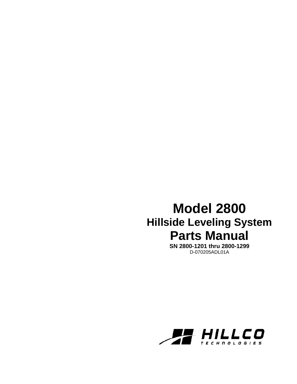## **Model 2800 Hillside Leveling System Parts Manual**

**SN 2800-1201 thru 2800-1299**  D-070205ADL01A

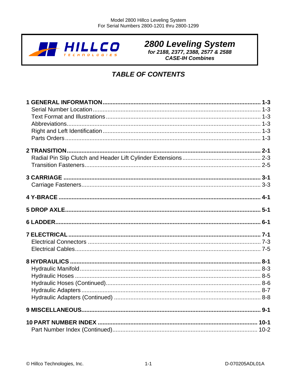

# 2800 Leveling System<br>for 2188, 2377, 2388, 2577 & 2588

**CASE-IH Combines** 

## **TABLE OF CONTENTS**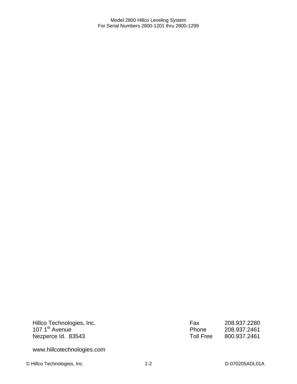Hillco Technologies, Inc. 107 1<sup>st</sup> Avenue Nezperce Id. 83543

Fax 208.937.2280 Phone 208.937.2461<br>Toll Free 800.937.2461 Toll Free 800.937.2461

www.hillcotechnologies.com

© Hillco Technologies, Inc. 1-2 1-2 D-070205ADL01A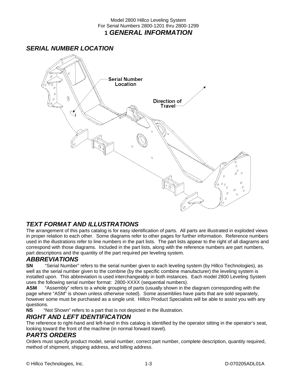#### Model 2800 Hillco Leveling System For Serial Numbers 2800-1201 thru 2800-1299 **1** *GENERAL INFORMATION*

## *SERIAL NUMBER LOCATION*



## *TEXT FORMAT AND ILLUSTRATIONS*

The arrangement of this parts catalog is for easy identification of parts. All parts are illustrated in exploded views in proper relation to each other. Some diagrams refer to other pages for further information. Reference numbers used in the illustrations refer to line numbers in the part lists. The part lists appear to the right of all diagrams and correspond with those diagrams. Included in the part lists, along with the reference numbers are part numbers, part descriptions and the quantity of the part required per leveling system.

## *ABBREVIATIONS*

**SN** "Serial Number" refers to the serial number given to each leveling system (by Hillco Technologies), as well as the serial number given to the combine (by the specific combine manufacturer) the leveling system is installed upon. This abbreviation is used interchangeably in both instances. Each model 2800 Leveling System uses the following serial number format: 2800-XXXX (sequential numbers).

**ASM** "Assembly" refers to a whole grouping of parts (usually shown in the diagram corresponding with the page where "ASM" is shown unless otherwise noted). Some assemblies have parts that are sold separately, however some must be purchased as a single unit. Hillco Product Specialists will be able to assist you with any questions.<br>NS "N

"Not Shown" refers to a part that is not depicted in the illustration.

## *RIGHT AND LEFT IDENTIFICATION*

The reference to right-hand and left-hand in this catalog is identified by the operator sitting in the operator's seat, looking toward the front of the machine (in normal forward travel).

## *PARTS ORDERS*

Orders must specify product model, serial number, correct part number, complete description, quantity required, method of shipment, shipping address, and billing address.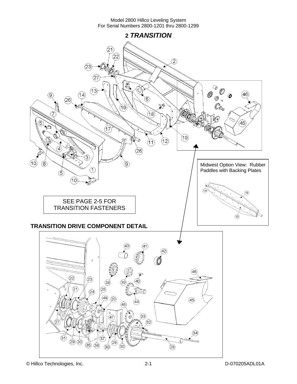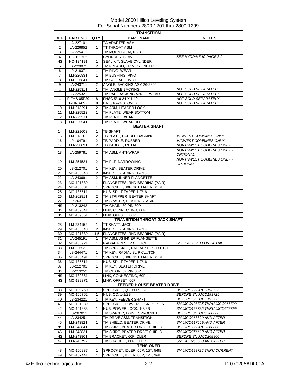|                | <b>TRANSITION</b>       |                   |                                                                    |                                                       |  |  |
|----------------|-------------------------|-------------------|--------------------------------------------------------------------|-------------------------------------------------------|--|--|
| REF.I          | <b>PART NO.</b>         | QTY.              | <b>PART NAME</b>                                                   | <b>NOTES</b>                                          |  |  |
| 1              | LA-227101               | 1                 | TA ADAPTER ASM                                                     |                                                       |  |  |
| 2              | LA-226852               | $\mathbf{1}$      | TT THROAT ASM                                                      |                                                       |  |  |
| 3              | LA-225411               | 1                 | TM MOUNT ASM, ROD                                                  |                                                       |  |  |
| $\overline{4}$ | HC-100706               | 1                 | CYLINDER, SLAVE                                                    | SEE HYDRAULIC PAGE 8-2                                |  |  |
| <b>NS</b>      | HC-134191               | 1                 | SEAL KIT, SLAVE CYLINDER                                           |                                                       |  |  |
| 5              | LA-229071               | 2                 | TM PIN ASM, TRIM CYLINDER                                          |                                                       |  |  |
| 6              | LP-218371               | 1                 | TM RING, WEAR                                                      |                                                       |  |  |
| 7              | LM-226831               | 1                 | TM BUSHING, PIVOT                                                  |                                                       |  |  |
| 8              | LM-226841               | 1                 | TM COLLAR, PIVOT                                                   |                                                       |  |  |
| 9              | LA-243711               | 2                 | ANGLE, BACKING ASM 26-2800                                         |                                                       |  |  |
|                | LM-225311               | 1                 | TM, ANGLE BACKING                                                  | NOT SOLD SEPARATELY                                   |  |  |
|                | LS-225321               | 1                 | TM PAD, BACKING ANGLE WEAR                                         | NOT SOLD SEPARATELY                                   |  |  |
| $\cdot$        | F-FHS-05F20             | 8                 | FHSC 5/16-24 X 1-1/4                                               | NOT SOLD SEPARATELY                                   |  |  |
|                | F-HNS-05F               | 8                 | <b>HN 5/16-24 STOVER</b>                                           | NOT SOLD SEPARATELY                                   |  |  |
| 10             | LM-213291               | 2                 | TM ARM, HEADER LOCK                                                |                                                       |  |  |
| 11             | LM-225522               | 1                 | TM PLATE, WEAR BOTTOM                                              |                                                       |  |  |
| 12             | LM-225531               | 1                 | TM PLATE, WEAR LH                                                  |                                                       |  |  |
| 13             | LM-225541               | 1                 | TM PLATE, WEAR RH                                                  |                                                       |  |  |
|                |                         |                   | <b>BEATER SHAFT</b>                                                |                                                       |  |  |
| 14             | LM-221603               | 1                 | <b>TB SHAFT</b>                                                    |                                                       |  |  |
| 15<br>16       | LM-213202               | 2<br>2            | TB PLATE, PADDLE BACKING                                           | MIDWEST COMBINES ONLY<br><b>MIDWEST COMBINES ONLY</b> |  |  |
|                | LP-104791               | 2                 | TB PADDLE, RUBBER                                                  | NORTHWEST COMBINES ONLY                               |  |  |
| 17             | LM-238091               |                   | TB PADDLE, METAL                                                   | <b>NORTHWEST COMBINES ONLY -</b>                      |  |  |
| 18             | LA-259781               | $\overline{2}$    | TM ASM, ANTI-WRAP                                                  | <b>OPTIONAL</b>                                       |  |  |
|                |                         |                   |                                                                    | NORTHWEST COMBINES ONLY -                             |  |  |
| 19             | LM-254521               | 2                 | TM PLT, NARROWING                                                  | <b>OPTIONAL</b>                                       |  |  |
| 20             | LS-212701               | 1                 | TM KEY, BEATER DRIVE                                               |                                                       |  |  |
| 21             | MC-100548               | 2                 | INSERT, BEARING, 1-7/16                                            |                                                       |  |  |
| 22             | LA-243691               | 2                 | TM ASM, INNER FLANGETTE                                            |                                                       |  |  |
| 23             | MC-101339               | 1                 | FLANGETTES, RND BEARING (PAIR)                                     |                                                       |  |  |
| 24             | MC-135501               | $\mathbf{1}$      | SPROCKET, 80P, 16T TAPER BORE                                      |                                                       |  |  |
| 25             | MC-135511               | 1                 | HUB, SPLIT TAPER 1-7/16                                            |                                                       |  |  |
| 26             | LM-262811               | 2                 | TM STRIPPER, BEATER SHAFT                                          |                                                       |  |  |
| 27             | LP-263111               | 2                 | TM SPACER, BEATER BEARING                                          |                                                       |  |  |
| <b>NS</b>      | LP-213242               | 1                 | TM CHAIN, 30 PIN 80P                                               |                                                       |  |  |
| <b>NS</b>      | MC-139341               | $\mathbf{1}$      | LINK, CONNECTING, 80P                                              |                                                       |  |  |
| <b>NS</b>      | MC-139351               | $\mathbf{1}$      | LINK, OFFSET, 80P                                                  |                                                       |  |  |
|                |                         |                   | <b>TRANSITION THROAT JACK SHAFT</b>                                |                                                       |  |  |
| 28             | LM-234152               | 1                 | TT SHAFT, JACK                                                     |                                                       |  |  |
| 29             | MC-100548               | 2                 | INSERT, BEARING, 1-7/16                                            |                                                       |  |  |
| 30             | MC-101339               | 1.5               | FLANGETTES, RND BEARING (PAIR)                                     |                                                       |  |  |
| 31             | LA-245191               | 1                 | TM ASM, JS INNER FLANGETTE                                         |                                                       |  |  |
| 32<br>33       | MC-136921<br>I M-226532 | 1<br>$\mathbf{1}$ | RADIAL PIN SLIP CLUTCH<br>TM SPROCKET, RADIAL SLIP CLUTCH          | <b>SEE PAGE 2-3 FOR DETAIL</b>                        |  |  |
| 34             | LS-244471               | 1                 | TM KEY, RADIAL SLIP CLUTCH                                         |                                                       |  |  |
| 35             | MC-135491               | 1                 | SPROCKET, 80P, 11T TAPER BORE                                      |                                                       |  |  |
| 36             | MC-135511               | 1                 | HUB, SPLIT TAPER 1-7/16                                            |                                                       |  |  |
| 37             | LS-212701               | 1                 | TM KEY, BEATER DRIVE                                               |                                                       |  |  |
| <b>NS</b>      | LP-213252               | 1                 | TM CHAIN, 62 PIN 60P                                               |                                                       |  |  |
| ΝS             | MC-139361               | 1                 | LINK, CONNECTING, 60P                                              |                                                       |  |  |
| <b>NS</b>      | MC-139371               | $\mathbf{1}$      | LINK, OFFSET, 60P                                                  |                                                       |  |  |
|                |                         |                   | <b>FEEDER HOUSE BEATER DRIVE</b>                                   |                                                       |  |  |
| 38             | MC-100760               | 1                 | SPROCKET, QD, 60P, 15T                                             | BEFORE SN JJCO193725                                  |  |  |
| 39             | MC-100762               | 1                 | HUB, QD, 1-1/2B                                                    | BEFORE SN JJCO193725                                  |  |  |
| 40             | LS-234221               | $\mathbf 1$       | TM KEY, FEEDER SHAFT                                               | BEFORE SN JJCO193725                                  |  |  |
| 41             | MC-101839               | 1                 | SPROCKET, POWER LOCK, 60P, 15T                                     | SN JJCO193725 THRU JJCO268799                         |  |  |
| 42             | MC-101838               | 1                 | HUB, POWER LOCK, 1-3/8B                                            | SN JJCO193725 THRU JJCO268799                         |  |  |
| 43             | LS-207011               | 1                 | TM SPACER, DRIVE SPROCKET                                          | BEFORE SN JJC0268800                                  |  |  |
| 44             | LA-234251               | 1                 | TM DRIVE ASM, TRANSITION                                           | SN JJCO268800 AND AFTER                               |  |  |
| 45             | LM-243821               | 1                 | TM SHIELD, BEATER DRIVE                                            | SN JJCO117059 AND AFTER                               |  |  |
| <b>NS</b>      | LM-243841               | 1                 | TM SKIRT, BEATER DRIVE SHIELD                                      | BEFORE SN JJC0268800                                  |  |  |
| 46             | LM-243831               | 1                 | TM SKIRT, BEATER DRIVE SHIELD                                      | SN JJCO268800 AND AFTER                               |  |  |
| <b>NS</b>      | LM-243801               | 1                 | TM BRACKET, 60P IDLER                                              | BEFORE SN JJC0268800                                  |  |  |
| 47             | LM-243792               | 1                 | TM BRACKET, 60P IDLER<br><b>TENSIONER</b>                          | SN JJCO268800 AND AFTER                               |  |  |
|                |                         |                   |                                                                    | SN JJCO193725 THRU CURRENT                            |  |  |
| 48<br>49       | MC-100237<br>MC-137441  | 1<br>$\mathbf{1}$ | SPROCKET, IDLER, 60P, 15T, 5/8B<br>SPROCKET, IDLER, 80P, 12T, 3/4B |                                                       |  |  |
|                |                         |                   |                                                                    |                                                       |  |  |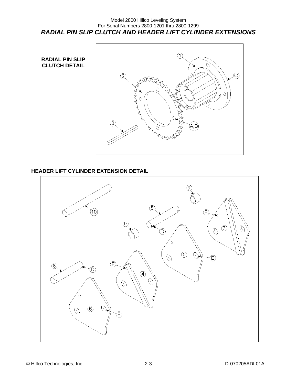#### Model 2800 Hillco Leveling System For Serial Numbers 2800-1201 thru 2800-1299 *RADIAL PIN SLIP CLUTCH AND HEADER LIFT CYLINDER EXTENSIONS*



## **HEADER LIFT CYLINDER EXTENSION DETAIL**

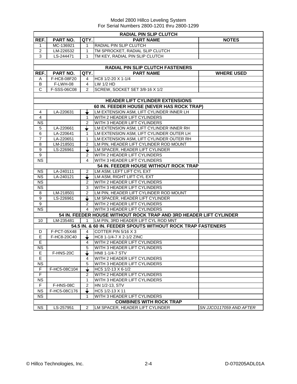|                        | <b>RADIAL PIN SLIP CLUTCH</b> |                |                                                                                                    |                         |  |  |  |  |
|------------------------|-------------------------------|----------------|----------------------------------------------------------------------------------------------------|-------------------------|--|--|--|--|
| REF.                   | PART NO.                      | QTY.           | <b>PART NAME</b>                                                                                   | <b>NOTES</b>            |  |  |  |  |
| 1                      | MC-136921                     | 1              | RADIAL PIN SLIP CLUTCH                                                                             |                         |  |  |  |  |
| 2                      | LM-226532                     | 1              | TM SPROCKET, RADIAL SLIP CLUTCH                                                                    |                         |  |  |  |  |
| 3                      | LS-244471                     | 1              | TM KEY, RADIAL PIN SLIP CLUTCH                                                                     |                         |  |  |  |  |
|                        |                               |                |                                                                                                    |                         |  |  |  |  |
|                        |                               |                | RADIAL PIN SLIP CLUTCH FASTENERS                                                                   |                         |  |  |  |  |
| REF.                   | PART NO.                      | QTY.           | <b>PART NAME</b>                                                                                   | <b>WHERE USED</b>       |  |  |  |  |
| A                      | F-HC8-08F20                   | 4              | HC8 1/2-20 X 1-1/4                                                                                 |                         |  |  |  |  |
| В                      | F-LWH-08                      | $\overline{4}$ | LW 1/2 HD                                                                                          |                         |  |  |  |  |
| C                      | F-SSS-06C08                   | 2              | SCREW, SOCKET SET 3/8-16 X 1/2                                                                     |                         |  |  |  |  |
|                        |                               |                |                                                                                                    |                         |  |  |  |  |
|                        |                               |                | <b>HEADER LIFT CYLINDER EXTENSIONS</b>                                                             |                         |  |  |  |  |
|                        |                               |                | 60 IN. FEEDER HOUSE (NEVER HAS ROCK TRAP)                                                          |                         |  |  |  |  |
| 4                      | LA-220631                     |                | LM EXTENSION ASM, LIFT CYLINDER INNER LH                                                           |                         |  |  |  |  |
| $\overline{4}$         |                               | 1              | WITH 2 HEADER LIFT CYLINDERS                                                                       |                         |  |  |  |  |
| <b>NS</b>              |                               | $\overline{2}$ | WITH 3 HEADER LIFT CYLINDERS                                                                       |                         |  |  |  |  |
| 5                      | LA-220661                     |                | LM EXTENSION ASM, LIFT CYLINDER INNER RH                                                           |                         |  |  |  |  |
| 6                      | LA-220641                     | 1              | LM EXTENSION ASM, LIFT CYLINDER OUTER LH                                                           |                         |  |  |  |  |
| $\overline{7}$         | LA-220651                     | 1              | LM EXTENSION ASM, LIFT CYLINDER OUTER RH                                                           |                         |  |  |  |  |
| 8                      | LM-218501                     | 2              | LM PIN, HEADER LIFT CYLINDER ROD MOUNT                                                             |                         |  |  |  |  |
| 9                      | LS-226961                     |                | LM SPACER, HEADER LIFT CYLINDER                                                                    |                         |  |  |  |  |
| 9                      |                               | 2              | WITH 2 HEADER LIFT CYLINDERS                                                                       |                         |  |  |  |  |
| $\overline{\text{NS}}$ |                               | 4              | WITH 3 HEADER LIFT CYLINDERS                                                                       |                         |  |  |  |  |
|                        |                               |                | <b>54 IN. FEEDER HOUSE WITHOUT ROCK TRAP</b>                                                       |                         |  |  |  |  |
| <b>NS</b>              | LA-240111                     | 2              | LM ASM, LEFT LIFT CYL EXT                                                                          |                         |  |  |  |  |
| <b>NS</b>              | LA-240121                     |                | LM ASM, RIGHT LIFT CYL EXT                                                                         |                         |  |  |  |  |
| <b>NS</b>              |                               | 2              | WITH 2 HEADER LIFT CYLINDERS                                                                       |                         |  |  |  |  |
| <b>NS</b>              |                               | 3              | WITH 3 HEADER LIFT CYLINDERS                                                                       |                         |  |  |  |  |
| 8<br>9                 | LM-218501                     | $\overline{2}$ | LM PIN, HEADER LIFT CYLINDER ROD MOUNT                                                             |                         |  |  |  |  |
|                        | LS-226961                     |                | LM SPACER, HEADER LIFT CYLINDER                                                                    |                         |  |  |  |  |
| 9<br><b>NS</b>         |                               | 2<br>4         | WITH 2 HEADER LIFT CYLINDERS                                                                       |                         |  |  |  |  |
|                        |                               |                | WITH 3 HEADER LIFT CYLINDERS<br>54 IN. FEEDER HOUSE WITHOUT ROCK TRAP AND 3RD HEADER LIFT CYLINDER |                         |  |  |  |  |
| 10                     |                               | 1              | LM PIN, 3RD HEADER LIFT CYL ROD MNT                                                                |                         |  |  |  |  |
|                        | LM-235481                     |                | 54.5 IN. & 60 IN. FEEDER SPOUTS WITHOUT ROCK TRAP FASTENERS                                        |                         |  |  |  |  |
| D                      | F-PCT-05X48                   | 4              | COTTER PIN 5/16 X 3                                                                                |                         |  |  |  |  |
| E                      | F-HC8-20C40                   |                | HC8 1-1/4-7 X 2-1/2 ZINC                                                                           |                         |  |  |  |  |
| E                      |                               | 4              | WITH 2 HEADER LIFT CYLINDERS                                                                       |                         |  |  |  |  |
| NS                     |                               | $\overline{5}$ | WITH 3 HEADER LIFT CYLINDERS                                                                       |                         |  |  |  |  |
| Е                      | F-HNS-20C                     |                | HN8 1-1/4-7 STV                                                                                    |                         |  |  |  |  |
| Е                      |                               | 4              | WITH 2 HEADER LIFT CYLINDERS                                                                       |                         |  |  |  |  |
| <b>NS</b>              |                               | 5              | WITH 3 HEADER LIFT CYLINDERS                                                                       |                         |  |  |  |  |
| F                      | F-HC5-08C104                  |                | HC5 1/2-13 X 6-1/2                                                                                 |                         |  |  |  |  |
| F                      |                               | 2              | WITH 2 HEADER LIFT CYLINDERS                                                                       |                         |  |  |  |  |
| <b>NS</b>              |                               | 1              | WITH 3 HEADER LIFT CYLINDERS                                                                       |                         |  |  |  |  |
| F                      | F-HNS-08C                     | $\overline{2}$ | HN 1/2-13, STV                                                                                     |                         |  |  |  |  |
| <b>NS</b>              | F-HC5-08C176                  |                | HC5 1/2-13 X 11                                                                                    |                         |  |  |  |  |
| <b>NS</b>              |                               | 1              | WITH 3 HEADER LIFT CYLINDERS                                                                       |                         |  |  |  |  |
|                        |                               |                | <b>COMBINES WITH ROCK TRAP</b>                                                                     |                         |  |  |  |  |
| NS                     | LS-257951                     | 2              | LM SPACER, HEADER LIFT CYLINDER                                                                    | SN JJCO117059 AND AFTER |  |  |  |  |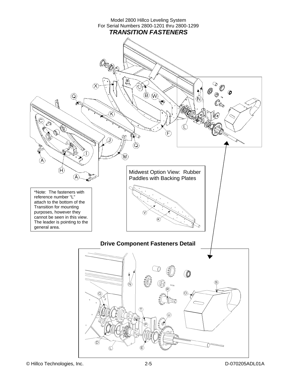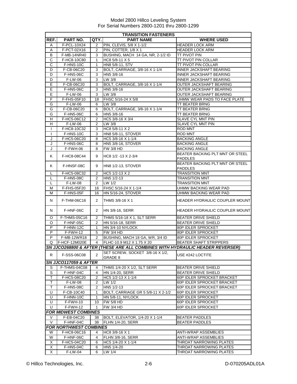|                | <b>TRANSITION FASTENERS</b>   |                |                                                                               |                                       |  |  |
|----------------|-------------------------------|----------------|-------------------------------------------------------------------------------|---------------------------------------|--|--|
| REF.           | PART NO.                      | QTY.           | <b>PART NAME</b>                                                              | <b>WHERE USED</b>                     |  |  |
| Α              | F-PCL-10X24                   | 2              | PIN, CLEVIS, 5/8 X 1-1/2                                                      | <b>HEADER LOCK ARM</b>                |  |  |
| Α              | F-PCT-02X16                   | 2              | PIN, COTTER, 1/8 X 1                                                          | <b>HEADER LOCK ARM</b>                |  |  |
| В              | F-MB-14NR40                   | 3              | BUSHING, MACH 14 GA, NR, 2-1/2 ID                                             | TT PIVOT PIN                          |  |  |
| $\overline{c}$ | F-HC8-10C80                   | $\mathbf{1}$   | HC8 5/8-11 X 5                                                                | <b>TT PIVOT PIN COLLAR</b>            |  |  |
| C              | F-HNS-10C                     | 1              | HN8 5/8-11, STV                                                               | TT PIVOT PIN COLLAR                   |  |  |
| D              | F-CB-06C20                    | 3              | BOLT, CARRIAGE, 3/8-16 X 1-1/4                                                | <b>INNER JACKSHAFT BEARING</b>        |  |  |
| D              | F-HN5-06C                     | 3              | HN5 3/8-16                                                                    | <b>INNER JACKSHAFT BEARING</b>        |  |  |
| D              | F-LW-06                       | 3              | LW 3/8                                                                        | INNER JACKSHAFT BEARING               |  |  |
| $\overline{E}$ | F-CB-06C20                    | 3              | BOLT, CARRIAGE, 3/8-16 X 1-1/4                                                | OUTER JACKSHAFT BEARING               |  |  |
| Ε              | F-HN5-06C                     | 3              | HN5 3/8-16                                                                    | OUTER JACKSHAFT BEARING               |  |  |
| Ε              | F-LW-06                       | 3              | LW 3/8                                                                        | OUTER JACKSHAFT BEARING               |  |  |
| F              | F-FHS-05F10                   | 18             | FHSC 5/16-24 X 5/8                                                            | UHMW WEAR PADS TO FACE PLATE          |  |  |
| G              | $\overline{F}$ -LW-06         | 6              | LW 3/8                                                                        | <b>TT BEATER BRNG</b>                 |  |  |
| G              | F-CB-06C20                    | 6              | BOLT, CARRIAGE, 3/8-16 X 1-1/4                                                | TT BEATER BRNG                        |  |  |
| G              | F-HN5-06C                     | 6              | HN5 3/8-16                                                                    | <b>TT BEATER BRNG</b>                 |  |  |
| H              | F-HC5-06C12                   | 2              | HC5 3/8-16 X 3/4                                                              | SLAVE CYL MNT PIN                     |  |  |
| Н              | F-LW-06                       | $\overline{2}$ | $LW$ 3/8                                                                      | <b>SLAVE CYL MNT PIN</b>              |  |  |
| $\mathbf{I}$   | F-HC8-10C32                   | 3              | <b>HC8 5/8-11 X 2</b>                                                         | ROD MNT                               |  |  |
| $\mathbf{I}$   | F-HNS-10C                     | 3              | <b>HN8 5/8-11, STOVER</b>                                                     | <b>ROD MNT</b>                        |  |  |
| J              | F-HC5-06C20                   | 8              | HC5 3/8-16 X 1-1/4                                                            | <b>BACKING ANGLE</b>                  |  |  |
| J              | F-HNS-06C                     | 8              | HN5 3/8-16, STOVER                                                            | <b>BACKING ANGLE</b>                  |  |  |
| J              | F-FWH-06                      | 8              | <b>FW 3/8 HD</b>                                                              | <b>BACKING ANGLE</b>                  |  |  |
| Κ              | F-HC8-08C44                   | 9              | HC8 1/2 -13 X 2-3/4                                                           | BEATER BACKING PLT MNT OR STEEL       |  |  |
|                |                               |                |                                                                               | <b>PADDLES</b>                        |  |  |
| Κ              | F-HNSF-08C                    | 9              | HN8 1/2-13, STOVER                                                            | BEATER BACKING PLT MNT OR STEEL       |  |  |
|                |                               |                |                                                                               | <b>PADDLES</b>                        |  |  |
| L              | F-HC5-08C32                   | 2              | HC5 1/2-13 X 2                                                                | <b>TRANSITION MNT</b>                 |  |  |
| L              | F-HN5-08C                     | 2              | $HM5 1/2-13$                                                                  | <b>TRANSITION MNT</b>                 |  |  |
| L              | <b>F-LW-08</b>                | $\overline{2}$ | LW 1/2                                                                        | <b>TRANSITION MNT</b>                 |  |  |
| М              | F-FHS-05F20                   | 16             | FHSC 5/16-24 X 1-1/4                                                          | UHMW BACKING WEAR PAD                 |  |  |
| м              | F-HNS-05F                     | 16             | <b>HN 5/16-24, STOVER</b>                                                     | UHMW BACKING WEAR PAD                 |  |  |
| N              | F-THM-06C16                   | 2              | THMS 3/8-16 X 1                                                               | HEADER HYDRAULIC COUPLER MOUNT        |  |  |
| N              | F-HNF-06C                     | 2              | HN 3/8-16, SERR                                                               | <b>HEADER HYDRAULIC COUPLER MOUNT</b> |  |  |
| O              | F-THMS-05C16                  | 2              | THMS 5/16-18 X 1, SLT SERR                                                    | <b>BEATER DRIVE SHIELD</b>            |  |  |
| O              | F-HNF-05C                     | $\overline{2}$ | HN 5/16-18, SERR                                                              | <b>BEATER DRIVE SHIELD</b>            |  |  |
| P              | F-HNN-12C                     | 1              | HN 3/4-10 NYLOCK                                                              | 80P IDLER SPROCKET                    |  |  |
| $\overline{P}$ | $F-FWH-12$                    | 5              | FW 3/4 HD                                                                     | 80P IDLER SPROCKET                    |  |  |
| P              | F-MB-12WR18                   | $\overline{2}$ | BUSHING, MACH 18 GA, WR, 3/4 ID                                               | 80P IDLER SPROCKET                    |  |  |
| Q              | F-HCF-12M020E                 | $\overline{4}$ | FLHC-10.9 M12 X 1.75 X 20                                                     | <b>BEATER SHAFT STRIPPERS</b>         |  |  |
|                |                               |                | SN JJCO268800 & AFTER (THESE ARE ALL COMBINES WITH HYDRAULIC HEADER REVERSER) |                                       |  |  |
| R              | F-SSS-06C08                   | $\overline{2}$ | SET SCREW, SOCKET 3/8-16 X 1/2,<br>GRADE 8                                    | USE #242 LOCTITE                      |  |  |
|                | SN JJCO117059 & AFTER         |                |                                                                               |                                       |  |  |
| S              | F-THMS-04C08                  | 4              | THMS 1/4-20 X 1/2, SLT SERR                                                   | <b>BEATER DRIVE SHIELD</b>            |  |  |
| S              | F-HNF-04C                     | 4              | HN 1/4-20, SERR                                                               | <b>BEATER DRIVE SHIELD</b>            |  |  |
| т              | F-HC5-08C20                   | 2              | HC5 1/2-13 X 1-1/4                                                            | 60P IDLER SPROCKET BRACKET            |  |  |
| т              | <b>F-LW-08</b>                | 2              | LW 1/2                                                                        | 60P IDLER SPROCKET BRACKET            |  |  |
| T              | F-HN5-08C                     | 2              | HN5 1/2-13                                                                    | 60P IDLER SPROCKET BRACKET            |  |  |
| U              | F-CB-10C40                    | 1              | BOLT, CARRIAGE GR 5 5/8-11 X 2-1/2                                            | 60P IDLER SPROCKET                    |  |  |
| U              | F-HNN-10C                     | 1              | <b>HN 5/8-11, NYLOCK</b>                                                      | 60P IDLER SPROCKET                    |  |  |
| U              | F-FWH-10                      | 10             | <b>FW 5/8 HD</b>                                                              | 60P IDLER SPROCKET                    |  |  |
| U              | F-FWH-12                      | 1              | <b>FW 3/4 HD</b>                                                              | 60P IDLER SPROCKET                    |  |  |
|                | <b>FOR MIDWEST COMBINES</b>   |                |                                                                               |                                       |  |  |
| V              | F-EB-04C20                    | 38             | BOLT, ELEVATOR, 1/4-20 X 1-1/4                                                | <b>BEATER PADDLES</b>                 |  |  |
| V              | F-HNF-04C                     | 38             | FLHN 1/4-20, SERR                                                             | <b>BEATER PADDLES</b>                 |  |  |
|                | <b>FOR NORTHWEST COMBINES</b> |                |                                                                               |                                       |  |  |
| W              | F-HC8-06C16                   | 4              | HC8 3/8-16 X 1                                                                | <b>ANTI-WRAP ASSEMBLIES</b>           |  |  |
| W              | $F-HNF-06C$                   | 4              | <b>FLHN 3/8-16, SERR</b>                                                      | ANTI-WRAP ASSEMBLIES                  |  |  |
| Χ              | F-HC5-04C20                   | 6              | HC5 1/4-20 X 1-1/4                                                            | THROAT NARROWING PLATES               |  |  |
| X              | F-HN5-04C                     | 6              | HN5 1/4-20                                                                    | THROAT NARROWING PLATES               |  |  |
| X              | <b>F-LW-04</b>                | 6              | LW 1/4                                                                        | THROAT NARROWING PLATES               |  |  |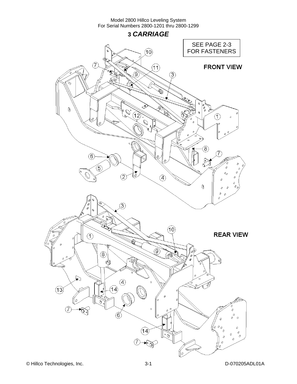**3** *CARRIAGE* 

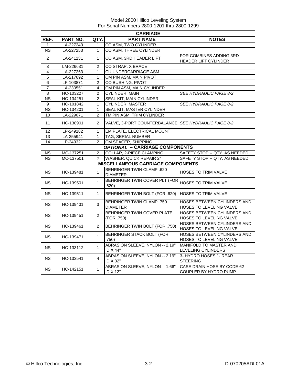|                           | <b>CARRIAGE</b> |                |                                                     |                                                        |  |  |
|---------------------------|-----------------|----------------|-----------------------------------------------------|--------------------------------------------------------|--|--|
| REF.                      | PART NO.        | QTY.           | <b>PART NAME</b>                                    | <b>NOTES</b>                                           |  |  |
| 1                         | LA-227243       | 1              | CO ASM, TWO CYLINDER                                |                                                        |  |  |
| <b>NS</b>                 | LA-227253       | 1              | CO ASM, THREE CYLINDER                              |                                                        |  |  |
| $\overline{2}$            | LA-241131       | 1              | CO ASM, 3RD HEADER LIFT                             | FOR COMBINES ADDING 3RD                                |  |  |
|                           |                 |                |                                                     | HEADER LIFT CYLINDER                                   |  |  |
| $\ensuremath{\mathsf{3}}$ | LM-226631       | 2              | CO STRAP, X BRACE                                   |                                                        |  |  |
| $\overline{4}$            | LA-227263       | 1              | <b>CU UNDERCARRIAGE ASM</b>                         |                                                        |  |  |
| $\overline{5}$            | LA-217692       | 1              | CM PIN ASM, MAIN PIVOT                              |                                                        |  |  |
| $\,6$                     | LP-103871       | 2              | CO BUSHING, PIVOT                                   |                                                        |  |  |
| $\overline{7}$            | LA-230551       | 4              | CM PIN ASM, MAIN CYLINDER                           |                                                        |  |  |
| 8                         | HC-103227       | $\overline{2}$ | CYLINDER, MAIN                                      | <b>SEE HYDRAULIC PAGE 8-2</b>                          |  |  |
| $\overline{\text{NS}}$    | HC-134251       | $\overline{2}$ | SEAL KIT, MAIN CYLINDER                             |                                                        |  |  |
| 9                         | HC-101842       | 1              | <b>CYLINDER, MASTER</b>                             | SEE HYDRAULIC PAGE 8-2                                 |  |  |
| <b>NS</b>                 | HC-134201       | 1              | SEAL KIT, MASTER CYLINDER                           |                                                        |  |  |
| 10                        | LA-229071       | $\overline{2}$ | TM PIN ASM, TRIM CYLINDER                           |                                                        |  |  |
| 11                        | HC-138901       | $\overline{2}$ | VALVE, 3-PORT COUNTERBALANCE SEE HYDRAULIC PAGE 8-2 |                                                        |  |  |
| 12                        | LP-249182       | 1              | EM PLATE, ELECTRICAL MOUNT                          |                                                        |  |  |
| 13                        | LA-255941       | 1              | <b>TAG, SERIAL NUMBER</b>                           |                                                        |  |  |
| 14                        | LP-249321       | $\overline{2}$ | CM SPACER, SHIPPING                                 |                                                        |  |  |
|                           |                 |                | <b>OPTIONAL -- CARRIAGE COMPONENTS</b>              |                                                        |  |  |
| NS.                       | MC-137251       | $\overline{2}$ | COLLAR, 2-PIECE CLAMPING                            | SAFETY STOP -- QTY. AS NEEDED                          |  |  |
| $\overline{\text{NS}}$    | MC-137501       | ?              | <b>WASHER, QUICK REPAIR 2"</b>                      | SAFETY STOP -- QTY. AS NEEDED                          |  |  |
|                           |                 |                | <b>MISCELLANEOUS CARRIAGE COMPONENTS</b>            |                                                        |  |  |
| <b>NS</b>                 | HC-139481       | 1              | <b>BEHRINGER TWIN CLAMP .620</b><br><b>DIAMETER</b> | <b>HOSES TO TRIM VALVE</b>                             |  |  |
| <b>NS</b>                 | HC-139501       | $\mathbf{1}$   | BEHRINGER TWIN COVER PLT (FOR<br>.620)              | HOSES TO TRIM VALVE                                    |  |  |
| <b>NS</b>                 | HC-139511       | 1              | BEHRINGER TWIN BOLT (FOR .620)                      | <b>HOSES TO TRIM VALVE</b>                             |  |  |
| NS.                       | HC-139431       | 3              | <b>BEHRINGER TWIN CLAMP .750</b><br><b>DIAMETER</b> | HOSES BETWEEN CYLINDERS AND<br>HOSES TO LEVELING VALVE |  |  |
| <b>NS</b>                 | HC-139451       | $\overline{2}$ | BEHRINGER TWIN COVER PLATE<br>(FOR .750)            | HOSES BETWEEN CYLINDERS AND<br>HOSES TO LEVELING VALVE |  |  |
| NS.                       | HC-139461       | $\overline{2}$ | BEHRINGER TWIN BOLT (FOR .750)                      | HOSES BETWEEN CYLINDERS AND<br>HOSES TO LEVELING VALVE |  |  |
| NS.                       | HC-139471       | $\mathbf{1}$   | <b>BEHRINGER STACK BOLT (FOR</b><br>.750)           | HOSES BETWEEN CYLINDERS AND<br>HOSES TO LEVELING VALVE |  |  |
| <b>NS</b>                 | HC-133112       | 1              | ABRASION SLEEVE, NYLON -- 2.19"<br>ID X 44"         | <b>MANIFOLD TO MASTER AND</b><br>LEVELING CYLINDERS    |  |  |
| NS.                       | HC-133541       | $\overline{4}$ | ABRASION SLEEVE, NYLON -- 2.19"<br>ID X 32"         | 3- HYDRO HOSES 1- REAR<br><b>STEERING</b>              |  |  |
| NS.                       | HC-142151       | 1              | ABRASION SLEEVE, NYLON -- 1.66"<br>ID X 12"         | CASE DRAIN HOSE BY CODE 62<br>COUPLER BY HYDRO PUMP    |  |  |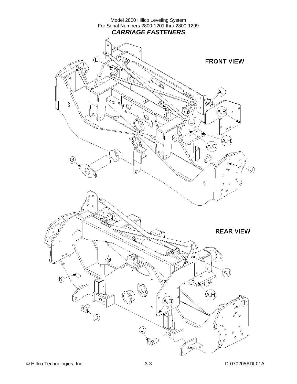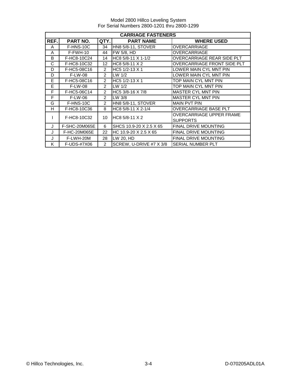Model 2800 Hillco Leveling System For Serial Numbers 2800-1201 thru 2800-1299

|         | <b>CARRIAGE FASTENERS</b> |                |                           |                                             |  |  |
|---------|---------------------------|----------------|---------------------------|---------------------------------------------|--|--|
| REF.    | <b>PART NO.</b>           | QTY.           | <b>PART NAME</b>          | <b>WHERE USED</b>                           |  |  |
| A       | F-HNS-10C                 | 34             | <b>HN8 5/8-11, STOVER</b> | OVERCARRIAGE                                |  |  |
| A       | $F-FWH-10$                | 44             | FW 5/8, HD                | <b>OVERCARRIAGE</b>                         |  |  |
| B       | F-HC8-10C24               | 14             | HC8 5/8-11 X 1-1/2        | OVERCARRIAGE REAR SIDE PLT                  |  |  |
| C       | F-HC8-10C32               | 12             | HC8 5/8-11 X 2            | OVERCARRIAGE FRONT SIDE PLT                 |  |  |
| D       | F-HC5-08C16               | $\mathcal{P}$  | HC5 1/2-13 X 1            | LOWER MAIN CYL MNT PIN                      |  |  |
| D       | <b>F-LW-08</b>            | $\mathcal{P}$  | LW $1/2$                  | LOWER MAIN CYL MNT PIN                      |  |  |
| E       | F-HC5-08C16               | $\overline{2}$ | HC5 1/2-13 X 1            | TOP MAIN CYL MNT PIN                        |  |  |
| E       | <b>F-LW-08</b>            | $\mathcal{P}$  | $LW$ 1/2                  | TOP MAIN CYL MNT PIN                        |  |  |
| F       | F-HC5-06C14               | $\overline{2}$ | HC5 3/8-16 X 7/8          | <b>MASTER CYL MNT PIN</b>                   |  |  |
| F       | F-LW-06                   | $\overline{2}$ | LW 3/8                    | <b>MASTER CYL MNT PIN</b>                   |  |  |
| G       | F-HNS-10C                 | $\overline{2}$ | HN8 5/8-11, STOVER        | <b>MAIN PVT PIN</b>                         |  |  |
| H       | F-HC8-10C36               | 8              | HC8 5/8-11 X 2-1/4        | OVERCARRIAGE BASE PLT                       |  |  |
|         | F-HC8-10C32               | 10             | HC8 5/8-11 X 2            | OVERCARRIAGE UPPER FRAME<br><b>SUPPORTS</b> |  |  |
| $\cdot$ | <b>F-SHC-20M065E</b>      | 6              | SHCS 10.9-20 X 2.5 X 65   | <b>FINAL DRIVE MOUNTING</b>                 |  |  |
| J       | F-HC-20M065E              | 22             | HC 10.9-20 X 2.5 X 65     | <b>FINAL DRIVE MOUNTING</b>                 |  |  |
| J       | F-LWH-20M                 | 28             | LW 20, HD                 | <b>FINAL DRIVE MOUNTING</b>                 |  |  |
| K       | F-UDS-#7X06               | $\mathcal{P}$  | SCREW, U-DRIVE #7 X 3/8   | SERIAL NUMBER PLT                           |  |  |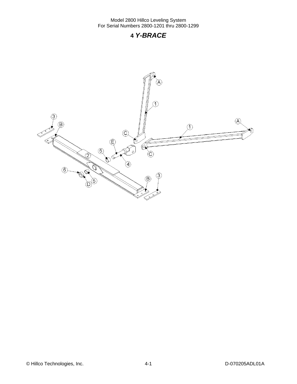## **4** *Y-BRACE*

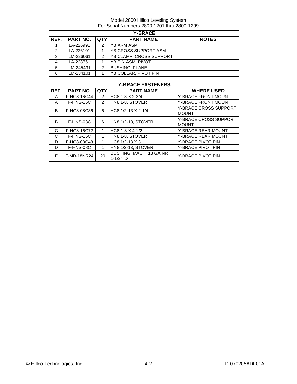|       | <b>Y-BRACE</b>  |                |                                                |                                              |  |  |
|-------|-----------------|----------------|------------------------------------------------|----------------------------------------------|--|--|
| REF.  | PART NO.        | QTY.           | <b>PART NAME</b>                               | <b>NOTES</b>                                 |  |  |
| 1     | LA-226991       | $\overline{2}$ | <b>YB ARM ASM</b>                              |                                              |  |  |
| 2     | LA-226101       | 1              | YB CROSS SUPPORT ASM                           |                                              |  |  |
| 3     | LM-226061       | $\overline{2}$ | YB CLAMP, CROSS SUPPORT                        |                                              |  |  |
| 4     | LA-228761       | 1              | YB PIN ASM, PIVOT                              |                                              |  |  |
| 5     | LM-245431       | $\overline{2}$ | <b>BUSHING, PLANE</b>                          |                                              |  |  |
| 6     | LM-234101       | 1              | YB COLLAR, PIVOT PIN                           |                                              |  |  |
|       |                 |                |                                                |                                              |  |  |
|       |                 |                | <b>Y-BRACE FASTENERS</b>                       |                                              |  |  |
| REF.I | <b>PART NO.</b> | QTY.           | <b>PART NAME</b>                               | <b>WHERE USED</b>                            |  |  |
| A     | F-HC8-16C44     | $\mathcal{P}$  | HC8 1-8 X 2-3/4                                | <b>Y-BRACE FRONT MOUNT</b>                   |  |  |
| A     | F-HNS-16C       | $\overline{2}$ | HN8 1-8, STOVER                                | <b>Y-BRACE FRONT MOUNT</b>                   |  |  |
| B     | F-HC8-08C36     | 6              | HC8 1/2-13 X 2-1/4                             | Y-BRACE CROSS SUPPORT                        |  |  |
|       |                 |                |                                                | <b>MOUNT</b>                                 |  |  |
| B     | F-HNS-08C       | 6              | <b>HN8 1/2-13, STOVER</b>                      | <b>Y-BRACE CROSS SUPPORT</b><br><b>MOUNT</b> |  |  |
| C     | F-HC8-16C72     | $\mathbf{1}$   | HC8 1-8 $X$ 4-1/2                              | <b>Y-BRACE REAR MOUNT</b>                    |  |  |
| C     | F-HNS-16C       | 1              | HN8 1-8, STOVER                                | <b>Y-BRACE REAR MOUNT</b>                    |  |  |
| D     | F-HC8-08C48     | $\mathbf{1}$   | HC8 1/2-13 X 3                                 | Y-BRACE PIVOT PIN                            |  |  |
| D     | F-HNS-08C       | $\mathbf{1}$   | <b>HN8 1/2-13, STOVER</b><br>Y-BRACE PIVOT PIN |                                              |  |  |
| E     | F-MB-18NR24     | 20             | BUSHING, MACH 18 GA NR<br>$1 - 1/2"$ ID        | <b>Y-BRACE PIVOT PIN</b>                     |  |  |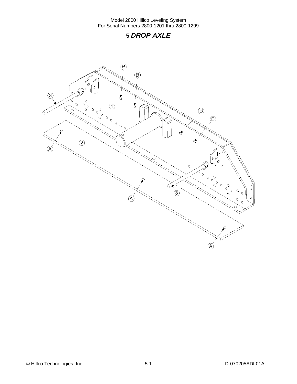## **5** *DROP AXLE*

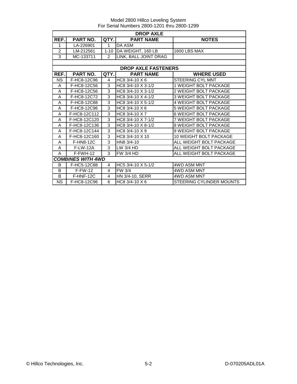|           | <b>DROP AXLE</b>         |                |                            |                               |  |  |
|-----------|--------------------------|----------------|----------------------------|-------------------------------|--|--|
| REF.      | PART NO.                 | QTY.           | <b>PART NAME</b>           | <b>NOTES</b>                  |  |  |
| 1         | LA-226901                | $\mathbf{1}$   | DA ASM                     |                               |  |  |
| 2         | LM-212561                | $1 - 10$       | DA WEIGHT, 160 LB          | <b>1600 LBS MAX</b>           |  |  |
| 3         | MC-133711                | 2              | LINK, BALL JOINT DRAG      |                               |  |  |
|           |                          |                |                            |                               |  |  |
|           |                          |                | <b>DROP AXLE FASTENERS</b> |                               |  |  |
| REF.      | PART NO.                 | QTY.           | <b>PART NAME</b>           | <b>WHERE USED</b>             |  |  |
| <b>NS</b> | F-HC8-12C96              | 4              | HC8 3/4-10 X 6             | <b>STEERING CYL MNT</b>       |  |  |
| A         | F-HC8-12C56              | 3              | HC8 3/4-10 X 3-1/2         | <b>1 WEIGHT BOLT PACKAGE</b>  |  |  |
| A         | F-HC8-12C56              | 3              | HC8 3/4-10 X 3-1/2         | 2 WEIGHT BOLT PACKAGE         |  |  |
| A         | F-HC8-12C72              | 3              | HC8 3/4-10 X 4-1/2         | <b>3 WEIGHT BOLT PACKAGE</b>  |  |  |
| A         | F-HC8-12C88              | 3              | HC8 3/4-10 X 5-1/2         | <b>4 WEIGHT BOLT PACKAGE</b>  |  |  |
| A         | F-HC8-12C96              | 3              | HC8 3/4-10 X 6             | 5 WEIGHT BOLT PACKAGE         |  |  |
| A         | F-HC8-12C112             | 3              | HC8 3/4-10 X 7             | <b>6 WEIGHT BOLT PACKAGE</b>  |  |  |
| A         | F-HC8-12C120             | 3              | HC8 3/4-10 X 7-1/2         | 7 WEIGHT BOLT PACKAGE         |  |  |
| A         | F-HC8-12C136             | 3              | HC8 3/4-10 X 8-1/2         | 8 WEIGHT BOLT PACKAGE         |  |  |
| A         | F-HC8-12C144             | 3              | HC8 3/4-10 X 9             | 9 WEIGHT BOLT PACKAGE         |  |  |
| A         | F-HC8-12C160             | 3              | HC8 3/4-10 X 10            | <b>10 WEIGHT BOLT PACKAGE</b> |  |  |
| A         | <b>F-HN8-12C</b>         | 3              | HN8 3/4-10                 | ALL WEIGHT BOLT PACKAGE       |  |  |
| A         | <b>F-LW-12A</b>          | $\overline{3}$ | LW 3/4 HD                  | ALL WEIGHT BOLT PACKAGE       |  |  |
| A         | F-FWH-12                 | 3              | <b>FW 3/4 HD</b>           | ALL WEIGHT BOLT PACKAGE       |  |  |
|           | <b>COMBINES WITH 4WD</b> |                |                            |                               |  |  |
| B         | F-HC5-12C88              | 4              | HC5 3/4-10 X 5-1/2         | <b>4WD ASM MNT</b>            |  |  |
| B         | $F-FW-12$                | $\overline{4}$ | FW 3/4                     | <b>4WD ASM MNT</b>            |  |  |
| B         | F-HNF-12C                | 4              | HN 3/4-10, SERR            | 4WD ASM MNT                   |  |  |
| <b>NS</b> | F-HC8-12C96              | 6              | HC8 3/4-10 X 6             | STEERING CYLINDER MOUNTS      |  |  |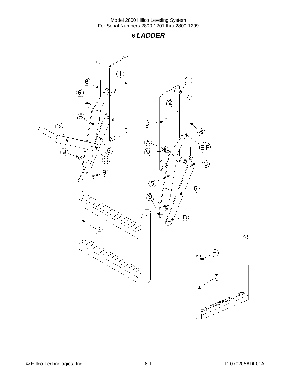## **6** *LADDER*

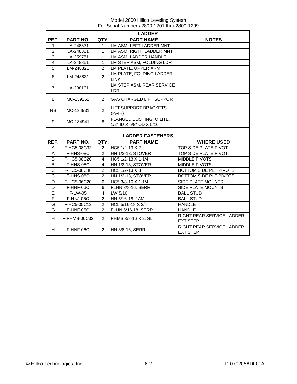|                | <b>LADDER</b> |                |                                                       |                                              |  |
|----------------|---------------|----------------|-------------------------------------------------------|----------------------------------------------|--|
| REF.           | PART NO.      | QTY.           | <b>PART NAME</b>                                      | <b>NOTES</b>                                 |  |
| $\mathbf{1}$   | LA-248871     | $\mathbf{1}$   | LM ASM, LEFT LADDER MNT                               |                                              |  |
| $\overline{2}$ | LA-248881     | 1              | LM ASM, RIGHT LADDER MNT                              |                                              |  |
| 3              | LA-259751     | 1              | LM ASM, LADDER HANDLE                                 |                                              |  |
| $\overline{4}$ | LA-248851     | $\mathbf{1}$   | LM STEP ASM, FOLDING LDR                              |                                              |  |
| $\overline{5}$ | LM-248821     | $\overline{2}$ | LM PLATE, UPPER ARM                                   |                                              |  |
| 6              | LM-248831     | $\overline{2}$ | LM PLATE, FOLDING LADDER<br><b>LINK</b>               |                                              |  |
| $\overline{7}$ | LA-238131     | $\mathbf{1}$   | LM STEP ASM, REAR SERVICE<br>LDR.                     |                                              |  |
| 8              | MC-139251     | $\overline{2}$ | <b>GAS CHARGED LIFT SUPPORT</b>                       |                                              |  |
| <b>NS</b>      | MC-134931     | 2              | <b>LIFT SUPPORT BRACKETS</b><br>(PAIR)                |                                              |  |
| 9              | MC-134941     | 8              | FLANGED BUSHING, OILITE,<br>1/2" ID X 5/8" OD X 5/16" |                                              |  |
|                |               |                |                                                       |                                              |  |
|                |               |                | <b>LADDER FASTENERS</b>                               |                                              |  |
| REF.           | PART NO.      | QTY.           | <b>PART NAME</b>                                      | <b>WHERE USED</b>                            |  |
| A              | F-HC5-08C32   | $\overline{c}$ | HC5 1/2-13 X 2                                        | TOP SIDE PLATE PIVOT                         |  |
| A              | F-HNS-08C     | $\overline{2}$ | <b>HN 1/2-13, STOVER</b>                              | TOP SIDE PLATE PIVOT                         |  |
| B              | F-HC5-08C20   | 4              | HC5 1/2-13 X 1-1/4                                    | <b>MIDDLE PIVOTS</b>                         |  |
| B              | F-HNS-08C     | $\overline{4}$ | <b>HN 1/2-13, STOVER</b>                              | <b>MIDDLE PIVOTS</b>                         |  |
| $\mathsf C$    | F-HC5-08C48   | 2              | HC5 1/2-13 X 3                                        | BOTTOM SIDE PLT PIVOTS                       |  |
| $\mathsf C$    | F-HNS-08C     | $\overline{2}$ | <b>HN 1/2-13, STOVER</b>                              | BOTTOM SIDE PLT PIVOTS                       |  |
| D              | F-HC5-06C20   | 6              | HC5 3/8-16 X 1-1/4                                    | SIDE PLATE MOUNTS                            |  |
| D              | F-HNF-06C     | $\overline{6}$ | <b>FLHN 3/8-16, SERR</b>                              | <b>SIDE PLATE MOUNTS</b>                     |  |
| Ē              | F-LW-05       | $\overline{4}$ | LW 5/16                                               | <b>BALL STUD</b>                             |  |
| F              | F-HNJ-05C     | $\overline{2}$ | HN 5/16-18, JAM                                       | <b>BALL STUD</b>                             |  |
| G              | F-HC5-05C12   | $\overline{2}$ | HC5 5/16-18 X 3/4                                     | <b>HANDLE</b>                                |  |
| G              | F-HNF-05C     | $\overline{2}$ | FLHN 5/16-18, SERR                                    | <b>HANDLE</b>                                |  |
| H              | F-PHMS-06C32  | 2              | PHMS 3/8-16 X 2, SLT                                  | RIGHT REAR SERVICE LADDER<br><b>EXT STEP</b> |  |
| H              | F-HNF-06C     | $\overline{2}$ | HN 3/8-16, SERR                                       | RIGHT REAR SERVICE LADDER<br><b>EXT STEP</b> |  |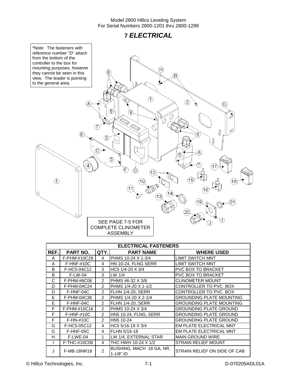## **7** *ELECTRICAL*



© Hillco Technologies, Inc. 7-1 D-070205ADL01A

STRAIN RELIEF ON SIDE OF CAB

F F-HN-#10C 2 HN5 10-24 GROUNDING PLATE GROUND G F-HC5-05C12 4 HC5 5/16-18 X 3/4 EM PLATE ELECTRICAL MNT G | F-HNF-05C | 4 | FLHN 5/16-18 | EM PLATE ELECTRICAL MNT

H | F-LWE-04 | 1 LW 1/4, EXTERNAL STAR | MAIN GROUND WIRE I F-THC-#10C08 4 THC HWH 10-24 X 1/2 STRAIN RELIEF MOUNT

J F-MB-18NR18 2 BUSHING, MACH 18 GA, NR,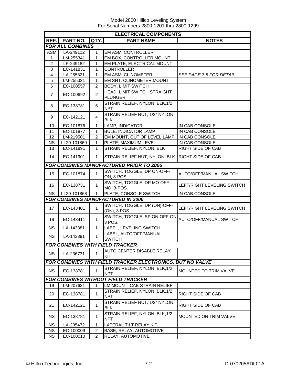|                | <b>ELECTRICAL COMPONENTS</b> |                          |                                                           |                                |  |
|----------------|------------------------------|--------------------------|-----------------------------------------------------------|--------------------------------|--|
| REF.           | <b>PART NO.</b>              | QTY.<br><b>PART NAME</b> |                                                           | <b>NOTES</b>                   |  |
|                | <b>FOR ALL COMBINES</b>      |                          |                                                           |                                |  |
| ASM            | LA-249112                    | 1                        | <b>EM ASM, CONTROLLER</b>                                 |                                |  |
| 1              | LM-255341                    | 1                        | EM BOX, CONTROLLER MOUNT                                  |                                |  |
| 2              | LP-249182                    | 1                        | EM PLATE, ELECTRICAL MOUNT                                |                                |  |
| 3              | EC-141831                    | 1                        | <b>CONTROLLER</b>                                         |                                |  |
| 4              | LA-255821                    | 1                        | EM ASM, CLINOMETER                                        | <b>SEE PAGE 7-5 FOR DETAIL</b> |  |
| 5              | LM-255331                    | 1                        | EM SHT, CLINOMETER MOUNT                                  |                                |  |
| 6              | EC-100557                    | 2                        | <b>BODY, LIMIT SWITCH</b>                                 |                                |  |
| $\overline{7}$ | EC-100692                    | $\overline{2}$           | HEAD, LIMIT SWITCH STRAIGHT<br><b>PLUNGER</b>             |                                |  |
| 8              | EC-138781                    | 6                        | STRAIN RELIEF, NYLON, BLK, 1/2<br><b>NPT</b>              |                                |  |
| 9              | EC-142121                    | 4                        | STRAIN RELIEF NUT, 1/2" NYLON,<br><b>BLK</b>              |                                |  |
| 10             | EC-101876                    | $\mathbf{1}$             | LAMP, INDICATOR                                           | IN CAB CONSOLE                 |  |
| 11             | EC-101877                    | $\mathbf{1}$             | <b>BULB, INDICATOR LAMP</b>                               | IN CAB CONSOLE                 |  |
| 12             | LM-219501                    | $\overline{2}$           | EM MOUNT, OUT OF LEVEL LAMP                               | IN CAB CONSOLE                 |  |
| <b>NS</b>      | LL20-101869                  | $\mathbf{1}$             | PLATE, MAXIMUM LEVEL                                      | IN CAB CONSOLE                 |  |
| 13             | EC-141891                    | $\mathbf{1}$             | STRAIN RELIEF, NYLON, BLK                                 | RIGHT SIDE OF CAB              |  |
| 14             | EC-141901                    | 1                        | STRAIN RELIEF NUT, NYLON, BLK                             | <b>RIGHT SIDE OF CAB</b>       |  |
|                |                              |                          | <b>FOR COMBINES MANUFACTURED PRIOR TO 2006</b>            |                                |  |
| 15             | EC-101874                    | 1                        | SWITCH, TOGGLE, DP ON-OFF-<br>ON, 3-POS.                  | AUTO/OFF/MANUAL SWITCH         |  |
| 16             | EC-138731                    | 1                        | SWITCH, TOGGLE, DP MO-OFF-<br>MO, 3-POS.                  | LEFT/RIGHT LEVELING SWITCH     |  |
| NS.            | LL20-101868                  | $\mathbf{1}$             | PLATE, CONSOLE SWITCH                                     | IN CAB CONSOLE                 |  |
|                |                              |                          | <b>FOR COMBINES MANUFACTURED IN 2006</b>                  |                                |  |
| 17             | EC-143401                    | $\mathbf{1}$             | SWITCH, TOGGLE, DP (ON)-OFF-<br>(ON), 3 POS.              | LEFT/RIGHT LEVELING SWITCH     |  |
| 18             | EC-143411                    | $\mathbf{1}$             | SWITCH, TOGGLE, SP ON-OFF-ON<br>3 POS.                    | AUTO/OFF/MANUAL SWITCH         |  |
| <b>NS</b>      | LA-143381                    | $\mathbf 1$              | LABEL, LEVELING SWITCH                                    |                                |  |
| <b>NS</b>      | LA-143391                    | 1                        | LABEL, AUTO/OFF/MANUAL<br><b>SWITCH</b>                   |                                |  |
|                |                              |                          | <b>FOR COMBINES WITH FIELD TRACKER</b>                    |                                |  |
| <b>NS</b>      | LA-236731                    | $\mathbf{1}$             | AUTO CENTER DISABLE RELAY<br><b>KIT</b>                   |                                |  |
|                |                              |                          | FOR COMBINES WITH FIELD TRACKER ELECTRONICS, BUT NO VALVE |                                |  |
| <b>NS</b>      | EC-138781                    | 1                        | STRAIN RELIEF, NYLON, BLK, 1/2<br><b>NPT</b>              | MOUNTED TO TRIM VALVE          |  |
|                |                              |                          | <b>FOR COMBINES WITHOUT FIELD TRACKER</b>                 |                                |  |
| 19             | LM-207631                    | 1                        | LM MOUNT, CAB STRAIN RELIEF                               |                                |  |
| 20             | EC-138781                    | 1                        | STRAIN RELIEF, NYLON, BLK, 1/2<br><b>NPT</b>              | RIGHT SIDE OF CAB              |  |
| 21             | EC-142121                    | $\mathbf{1}$             | STRAIN RELIEF NUT, 1/2" NYLON,<br><b>BLK</b>              | RIGHT SIDE OF CAB              |  |
| <b>NS</b>      | EC-138781                    | 1                        | STRAIN RELIEF, NYLON, BLK, 1/2<br><b>NPT</b>              | <b>MOUNTED ON TRIM VALVE</b>   |  |
| NS.            | LA-235472                    | 1                        | LATERAL TILT RELAY KIT                                    |                                |  |
| <b>NS</b>      | EC-100009                    | 2                        | BASE, RELAY, AUTOMOTIVE                                   |                                |  |
| <b>NS</b>      | EC-100010                    | 2                        | RELAY, AUTOMOTIVE                                         |                                |  |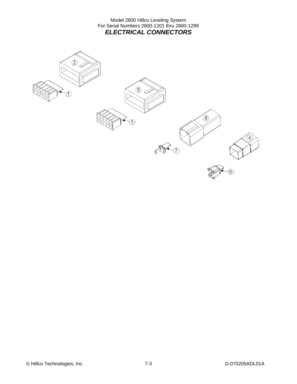Model 2800 Hillco Leveling System For Serial Numbers 2800-1201 thru 2800-1299 *ELECTRICAL CONNECTORS* 

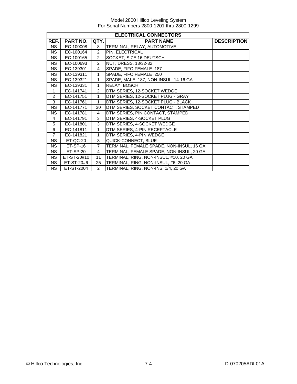|                | <b>ELECTRICAL CONNECTORS</b> |                |                                          |                    |  |
|----------------|------------------------------|----------------|------------------------------------------|--------------------|--|
| REF.           | <b>PART NO.</b>              | QTY.           | <b>PART NAME</b>                         | <b>DESCRIPTION</b> |  |
| <b>NS</b>      | EC-100008                    | 8              | TERMINAL, RELAY, AUTOMOTIVE              |                    |  |
| <b>NS</b>      | EC-100164                    | $\overline{2}$ | PIN, ELECTRICAL                          |                    |  |
| <b>NS</b>      | EC-100165                    | $\overline{2}$ | SOCKET, SIZE 16 DEUTSCH                  |                    |  |
| <b>NS</b>      | EC-100693                    | $\overline{2}$ | NUT, DRESS, 13/32-32                     |                    |  |
| <b>NS</b>      | EC-139301                    | 4              | SPADE, FIFO FEMALE .187                  |                    |  |
| <b>NS</b>      | EC-139311                    | 1              | SPADE, FIFO FEMALE .250                  |                    |  |
| <b>NS</b>      | EC-139321                    | 1              | SPADE, MALE .187, NON-INSUL, 14-16 GA    |                    |  |
| <b>NS</b>      | EC-139331                    | 1              | RELAY, BOSCH                             |                    |  |
| $\mathbf{1}$   | EC-141741                    | $\overline{2}$ | DTM SERIES, 12-SOCKET WEDGE              |                    |  |
| 2              | EC-141751                    | 1              | DTM SERIES, 12-SOCKET PLUG - GRAY        |                    |  |
| 3              | EC-141761                    | 1              | DTM SERIES, 12-SOCKET PLUG - BLACK       |                    |  |
| <b>NS</b>      | EC-141771                    | 30             | DTM SERIES, SOCKET CONTACT, STAMPED      |                    |  |
| <b>NS</b>      | EC-141781                    | $\overline{4}$ | DTM SERIES, PIN CONTACT, STAMPED         |                    |  |
| 4              | EC-141791                    | 3              | DTM SERIES, 4-SOCKET PLUG                |                    |  |
| 5              | EC-141801                    | 3              | DTM SERIES, 4-SOCKET WEDGE               |                    |  |
| 6              | EC-141811                    | 1              | DTM SERIES, 4-PIN RECEPTACLE             |                    |  |
| $\overline{7}$ | EC-141821                    | 1              | DTM SERIES, 4-PIN WEDGE                  |                    |  |
| <b>NS</b>      | ET-QC-20                     | 3              | QUICK-CONNECT, BLUE                      |                    |  |
| <b>NS</b>      | $ET-SP-16$                   | $\overline{7}$ | TERMINAL, FEMALE SPADE, NON-INSUL, 16 GA |                    |  |
| <b>NS</b>      | ET-SP-20                     | 4              | TERMINAL, FEMALE SPADE, NON-INSUL, 20 GA |                    |  |
| <b>NS</b>      | ET-ST-20#10                  | 11             | TERMINAL, RING, NON-INSUL, #10, 20 GA    |                    |  |
| <b>NS</b>      | ET-ST-20#6                   | 25             | TERMINAL, RING, NON-INSUL, #6, 20 GA     |                    |  |
| <b>NS</b>      | ET-ST-2004                   | $\overline{2}$ | TERMINAL, RING, NON-INS, 1/4, 20 GA      |                    |  |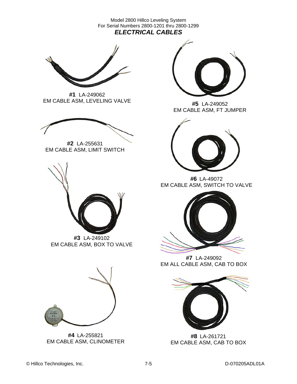Model 2800 Hillco Leveling System For Serial Numbers 2800-1201 thru 2800-1299 *ELECTRICAL CABLES* 



**#1** LA-249062 EM CABLE ASM, LEVELING VALVE



**#2** LA-255631 EM CABLE ASM, LIMIT SWITCH



**#3** LA-249102 EM CABLE ASM, BOX TO VALVE



**#4** LA-255821 EM CABLE ASM, CLINOMETER



**#5** LA-249052 EM CABLE ASM, FT JUMPER



**#6** LA-49072 EM CABLE ASM, SWITCH TO VALVE



**#7** LA-249092 EM ALL CABLE ASM, CAB TO BOX



**#8** LA-261721 EM CABLE ASM, CAB TO BOX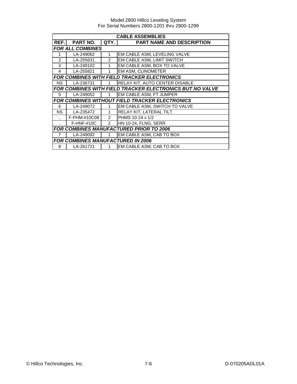|                         | <b>CABLE ASSEMBLIES</b> |               |                                                                 |  |  |
|-------------------------|-------------------------|---------------|-----------------------------------------------------------------|--|--|
| REF.                    | PART NO.                | QTY.          | <b>PART NAME AND DESCRIPTION</b>                                |  |  |
| <b>FOR ALL COMBINES</b> |                         |               |                                                                 |  |  |
| 1                       | LA-249062               | 1             | EM CABLE ASM, LEVELING VALVE                                    |  |  |
| 2                       | LA-255631               | $\mathcal{P}$ | EM CABLE ASM, LIMIT SWITCH                                      |  |  |
| 3                       | LA-249102               | 1             | EM CABLE ASM, BOX TO VALVE                                      |  |  |
| 4                       | LA-255821               | 1             | EM ASM, CLINOMETER                                              |  |  |
|                         |                         |               | <b>FOR COMBINES WITH FIELD TRACKER ELECTRONICS</b>              |  |  |
| NS.                     | LA-236731               |               | RELAY KIT, AUTO CENTER DISABLE                                  |  |  |
|                         |                         |               | <b>FOR COMBINES WITH FIELD TRACKER ELECTRONICS BUT NO VALVE</b> |  |  |
| 5                       | LA-249052               | $\mathbf{1}$  | EM CABLE ASM, FT JUMPER                                         |  |  |
|                         |                         |               | <b>FOR COMBINES WITHOUT FIELD TRACKER ELECTRONICS</b>           |  |  |
| 6                       | LA-249072               | 1             | EM CABLE ASM, SWITCH TO VALVE                                   |  |  |
| <b>NS</b>               | LA-235472               | 1             | RELAY KIT, LATERAL TILT                                         |  |  |
| $\ddotsc$               | F-PHM-#10C08            | 2             | PHMS 10-24 x 1/2                                                |  |  |
|                         | $F-HNF-#10C$            | 2             | HN 10-24, FLNG, SERR                                            |  |  |
|                         |                         |               | <b>FOR COMBINES MANUFACTURED PRIOR TO 2006</b>                  |  |  |
| 7                       | LA-249092               | 1             | EM CABLE ASM, CAB TO BOX                                        |  |  |
|                         |                         |               | <b>FOR COMBINES MANUFACTURED IN 2006</b>                        |  |  |
| 8                       | LA-261721               |               | EM CABLE ASM, CAB TO BOX                                        |  |  |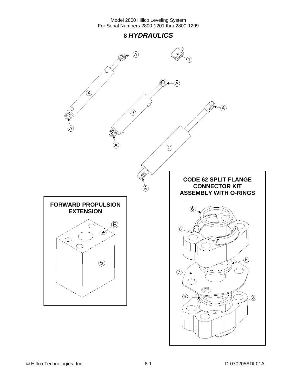## **8** *HYDRAULICS*

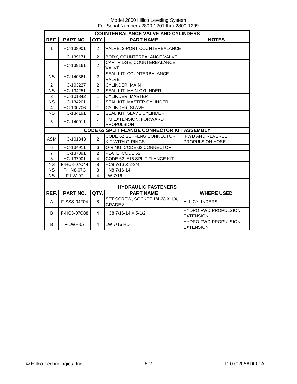|                        | <b>COUNTERBALANCE VALVE AND CYLINDERS</b>   |                |                                                       |                                                 |  |  |  |  |
|------------------------|---------------------------------------------|----------------|-------------------------------------------------------|-------------------------------------------------|--|--|--|--|
| REF.                   | PART NO.                                    | QTY.           | <b>PART NAME</b>                                      | <b>NOTES</b>                                    |  |  |  |  |
| $\mathbf{1}$           | HC-138901                                   | $\overline{2}$ | VALVE, 3-PORT COUNTERBALANCE                          |                                                 |  |  |  |  |
| $\ddot{\phantom{a}}$   | HC-139171                                   | 2              | BODY, COUNTERBALANCE VALVE                            |                                                 |  |  |  |  |
| $\ddot{\phantom{a}}$   | HC-139161                                   | $\overline{2}$ | CARTRIDGE, COUNTERBALANCE<br>VALVE                    |                                                 |  |  |  |  |
| <b>NS</b>              | HC-140361                                   | $\overline{2}$ | SEAL KIT, COUNTERBALANCE<br><b>VALVE</b>              |                                                 |  |  |  |  |
| $\overline{2}$         | HC-103227                                   | $\mathcal{P}$  | <b>CYLINDER, MAIN</b>                                 |                                                 |  |  |  |  |
| <b>NS</b>              | HC-134251                                   | $\overline{2}$ | SEAL KIT, MAIN CYLINDER                               |                                                 |  |  |  |  |
| 3                      | HC-101842                                   | 1              | <b>CYLINDER, MASTER</b>                               |                                                 |  |  |  |  |
| <b>NS</b>              | HC-134201                                   | 1              | SEAL KIT, MASTER CYLINDER                             |                                                 |  |  |  |  |
| $\overline{4}$         | HC-100706                                   | 1              | CYLINDER, SLAVE                                       |                                                 |  |  |  |  |
| <b>NS</b>              | HC-134191                                   | 1              | SEAL KIT, SLAVE CYLINDER                              |                                                 |  |  |  |  |
| 5                      | HC-140011                                   | 1              | HM EXTENSION, FORWARD<br><b>PROPULSION</b>            |                                                 |  |  |  |  |
|                        | CODE 62 SPLIT FLANGE CONNECTOR KIT ASSEMBLY |                |                                                       |                                                 |  |  |  |  |
| <b>ASM</b>             | HC-101843                                   | $\overline{2}$ | CODE 62 SLT FLNG CONNECTOR<br><b>KIT WITH O-RINGS</b> | <b>FWD AND REVERSE</b><br>PROPULSION HOSE       |  |  |  |  |
| 6                      | HC-134911                                   | 6              | O-RING, CODE 62 CONNECTOR                             |                                                 |  |  |  |  |
| $\overline{7}$         | HC-137891                                   | $\overline{2}$ | PLATE, CODE 62                                        |                                                 |  |  |  |  |
| 8                      | HC-137901                                   | 4              | CODE 62, #16 SPLIT FLANGE KIT                         |                                                 |  |  |  |  |
| <b>NS</b>              | F-HC8-07C44                                 | 8              | HC8 7/16 X 2-3/4                                      |                                                 |  |  |  |  |
| <b>NS</b>              | F-HN8-07C                                   | 8              | HN8 7/16-14                                           |                                                 |  |  |  |  |
| $\overline{\text{NS}}$ | F-LW-07                                     | 4              | LW 7/16                                               |                                                 |  |  |  |  |
|                        |                                             |                |                                                       |                                                 |  |  |  |  |
|                        |                                             |                | <b>HYDRAULIC FASTENERS</b>                            |                                                 |  |  |  |  |
| REF.                   | PART NO.                                    | QTY.           | <b>PART NAME</b>                                      | <b>WHERE USED</b>                               |  |  |  |  |
| A                      | F-SSS-04F04                                 | 8              | SET SCREW, SOCKET 1/4-28 X 1/4,<br><b>GRADE 8</b>     | <b>ALL CYLINDERS</b>                            |  |  |  |  |
| B                      | F-HC8-07C88                                 | $\overline{4}$ | HC8 7/16-14 X 5-1/2                                   | <b>HYDRO FWD PROPULSION</b><br><b>EXTENSION</b> |  |  |  |  |
| B                      | F-LWH-07                                    | 4              | LW 7/16 HD                                            | <b>HYDRO FWD PROPULSION</b><br><b>EXTENSION</b> |  |  |  |  |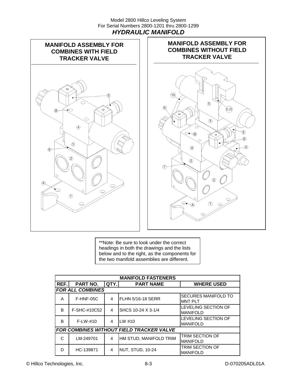#### Model 2800 Hillco Leveling System For Serial Numbers 2800-1201 thru 2800-1299 *HYDRAULIC MANIFOLD*





\*\*Note: Be sure to look under the correct headings in both the drawings and the lists below and to the right, as the components for the two manifold assemblies are different.

|                                                                   | <b>MANIFOLD FASTENERS</b> |   |                                                 |                                               |  |  |  |  |
|-------------------------------------------------------------------|---------------------------|---|-------------------------------------------------|-----------------------------------------------|--|--|--|--|
| REF.<br>PART NO.<br>QTY.<br><b>PART NAME</b><br><b>WHERE USED</b> |                           |   |                                                 |                                               |  |  |  |  |
|                                                                   | <b>FOR ALL COMBINES</b>   |   |                                                 |                                               |  |  |  |  |
| A                                                                 | F-HNF-05C                 | 4 | FLHN 5/16-18 SERR                               | <b>SECURES MANIFOLD TO</b><br><b>IMNT PLT</b> |  |  |  |  |
| B                                                                 | F-SHC-#10C52              | 4 | SHCS 10-24 X 3-1/4                              | LEVELING SECTION OF<br><b>MANIFOLD</b>        |  |  |  |  |
| B                                                                 | $F-LW-#10$                | 4 | $I$ LW #10                                      | LEVELING SECTION OF<br><b>MANIFOLD</b>        |  |  |  |  |
|                                                                   |                           |   | <b>FOR COMBINES WITHOUT FIELD TRACKER VALVE</b> |                                               |  |  |  |  |
| C                                                                 | LM-249701                 | 4 | HM STUD, MANIFOLD TRIM                          | <b>TRIM SECTION OF</b><br><b>MANIFOLD</b>     |  |  |  |  |
| D                                                                 | HC-139871                 | 4 | NUT, STUD, 10-24                                | TRIM SECTION OF<br><b>MANIFOLD</b>            |  |  |  |  |

© Hillco Technologies, Inc. 6-3 8-3 D-070205ADL01A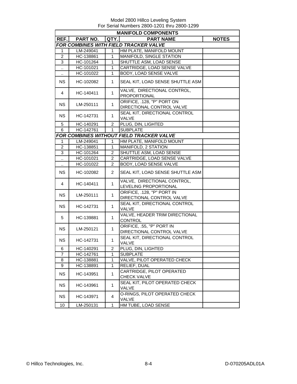|                      | <b>MANIFOLD COMPONENTS</b> |                  |                                                         |              |  |  |  |  |
|----------------------|----------------------------|------------------|---------------------------------------------------------|--------------|--|--|--|--|
| REF.I                | <b>PART NO.</b>            | QTY.             | <b>PART NAME</b>                                        | <b>NOTES</b> |  |  |  |  |
|                      |                            |                  | FOR COMBINES WITH FIELD TRACKER VALVE                   |              |  |  |  |  |
| 1                    | LM-249041                  | $\mathbf{1}$     | HM PLATE, MANIFOLD MOUNT                                |              |  |  |  |  |
| $\overline{2}$       | HC-138861                  | $\mathbf{1}$     | MANIFOLD, SINGLE STATION                                |              |  |  |  |  |
| 3                    | HC-101264                  | $\mathbf{1}$     | SHUTTLE ASM, LOAD SENSE                                 |              |  |  |  |  |
| Ω.                   | HC-101021                  | $\mathbf{1}$     | CARTRIDGE, LOAD SENSE VALVE                             |              |  |  |  |  |
| $\ddotsc$            | HC-101022                  | $\mathbf{1}$     | BODY, LOAD SENSE VALVE                                  |              |  |  |  |  |
| <b>NS</b>            | HC-102082                  | 1                | SEAL KIT, LOAD SENSE SHUTTLE ASM                        |              |  |  |  |  |
| 4                    | HC-140411                  | $\mathbf{1}$     | VALVE, DIRECTIONAL CONTROL,<br>PROPORTIONAL             |              |  |  |  |  |
| <b>NS</b>            | LM-250111                  | $\mathbf{1}$     | ORIFICE, .128, "P" PORT ON<br>DIRECTIONAL CONTROL VALVE |              |  |  |  |  |
| <b>NS</b>            | HC-142731                  | $\mathbf{1}$     | SEAL KIT, DIRECTIONAL CONTROL<br>VALVE                  |              |  |  |  |  |
| 5                    | HC-140291                  | $\overline{2}$   | PLUG, DIN, LIGHTED                                      |              |  |  |  |  |
| 6                    | HC-142761                  | $\mathbf{1}$     | <b>SUBPLATE</b>                                         |              |  |  |  |  |
|                      |                            |                  | FOR COMBINES WITHOUT FIELD TRACKER VALVE                |              |  |  |  |  |
| 1                    | LM-249041                  | 1                | HM PLATE, MANIFOLD MOUNT                                |              |  |  |  |  |
| $\overline{c}$       | HC-138851                  | $\mathbf{1}$     | MANIFOLD, 2 STATION                                     |              |  |  |  |  |
| 3                    | HC-101264                  | $\overline{c}$   | SHUTTLE ASM, LOAD SENSE                                 |              |  |  |  |  |
|                      |                            | $\boldsymbol{2}$ | CARTRIDGE, LOAD SENSE VALVE                             |              |  |  |  |  |
| $\ldots$             | HC-101021<br>HC-101022     | $\overline{2}$   | BODY, LOAD SENSE VALVE                                  |              |  |  |  |  |
| $\ddot{\phantom{a}}$ |                            |                  |                                                         |              |  |  |  |  |
| <b>NS</b>            | HC-102082                  | $\overline{2}$   | SEAL KIT, LOAD SENSE SHUTTLE ASM                        |              |  |  |  |  |
| 4                    | HC-140411                  | $\mathbf{1}$     | VALVE, DIRECTIONAL CONTROL,<br>LEVELING PROPORTIONAL    |              |  |  |  |  |
| <b>NS</b>            | LM-250111                  | $\mathbf{1}$     | ORIFICE, .128, "P" PORT IN<br>DIRECTIONAL CONTROL VALVE |              |  |  |  |  |
| <b>NS</b>            | HC-142731                  | $\mathbf{1}$     | SEAL KIT, DIRECTIONAL CONTROL                           |              |  |  |  |  |
|                      |                            |                  | VALVE                                                   |              |  |  |  |  |
| 5                    | HC-139881                  | $\mathbf{1}$     | VALVE, HEADER TRIM DIRECTIONAL<br><b>CONTROL</b>        |              |  |  |  |  |
| <b>NS</b>            | LM-250121                  | $\mathbf{1}$     | ORIFICE, .55, "P" PORT IN<br>DIRECTIONAL CONTROL VALVE  |              |  |  |  |  |
| <b>NS</b>            | HC-142731                  | $\mathbf{1}$     | SEAL KIT, DIRECTIONAL CONTROL<br>VALVE                  |              |  |  |  |  |
| 6                    | HC-140291                  | 2                | PLUG, DIN, LIGHTED                                      |              |  |  |  |  |
| $\overline{7}$       | HC-142761                  | $\mathbf{1}$     | <b>SUBPLATE</b>                                         |              |  |  |  |  |
| 8                    | HC-138881                  | $\mathbf{1}$     | VALVE, PILOT OPERATED CHECK                             |              |  |  |  |  |
| 9                    | HC-138891                  | $\mathbf{1}$     | RELIEF, DUAL                                            |              |  |  |  |  |
| <b>NS</b>            | HC-143951                  | $\mathbf{1}$     | CARTRIDGE, PILOT OPERATED<br>CHECK VALVE                |              |  |  |  |  |
| <b>NS</b>            | HC-143961                  | $\mathbf{1}$     | SEAL KIT, PILOT OPERATED CHECK<br>VALVE                 |              |  |  |  |  |
| <b>NS</b>            | HC-143971                  | 4                | O-RINGS, PILOT OPERATED CHECK<br>VALVE                  |              |  |  |  |  |
| 10                   | LM-250131                  | 1                | HM TUBE, LOAD SENSE                                     |              |  |  |  |  |
|                      |                            |                  |                                                         |              |  |  |  |  |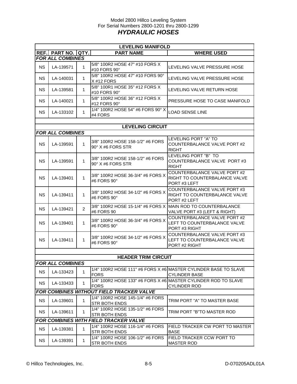#### Model 2800 Hillco Leveling System For Serial Numbers 2800-1201 thru 2800-1299 *HYDRAULIC HOSES*

|           | <b>LEVELING MANIFOLD</b> |                |                                                                            |                                                                                         |  |  |  |
|-----------|--------------------------|----------------|----------------------------------------------------------------------------|-----------------------------------------------------------------------------------------|--|--|--|
|           | <b>REF. PART NO.</b>     | QTY.           | <b>PART NAME</b>                                                           | <b>WHERE USED</b>                                                                       |  |  |  |
|           | <b>FOR ALL COMBINES</b>  |                |                                                                            |                                                                                         |  |  |  |
| <b>NS</b> | LA-139571                | 1              | 5/8" 100R2 HOSE 47" #10 FORS X<br>#10 FORS 90°                             | LEVELING VALVE PRESSURE HOSE                                                            |  |  |  |
| <b>NS</b> | LA-140031                | 1              | 5/8" 100R2 HOSE 47" #10 FORS 90°<br>$X$ #12 FORS                           | LEVELING VALVE PRESSURE HOSE                                                            |  |  |  |
| <b>NS</b> | LA-139581                | 1              | 5/8" 100R1 HOSE 35" #12 FORS X<br>#10 FORS 90°                             | LEVELING VALVE RETURN HOSE                                                              |  |  |  |
| <b>NS</b> | LA-140021                | 1              | 5/8" 100R2 HOSE 36" #12 FORS X<br>#12 FORS 90°                             | PRESSURE HOSE TO CASE MANIFOLD                                                          |  |  |  |
| NS.       | LA-133102                | 1              | 1/4" 100R2 HOSE 54" #6 FORS 90° X<br>#4 FORS                               | <b>LOAD SENSE LINE</b>                                                                  |  |  |  |
|           |                          |                |                                                                            |                                                                                         |  |  |  |
|           |                          |                | <b>LEVELING CIRCUIT</b>                                                    |                                                                                         |  |  |  |
|           | <b>FOR ALL COMBINES</b>  |                |                                                                            |                                                                                         |  |  |  |
| <b>NS</b> | LA-139591                | $\mathbf{1}$   | 3/8" 100R2 HOSE 158-1/2" #6 FORS<br>$90^\circ$ X #6 FORS STR               | LEVELING PORT "A" TO<br>COUNTERBALANCE VALVE PORT #2<br><b>RIGHT</b>                    |  |  |  |
| <b>NS</b> | LA-139591                | $\mathbf{1}$   | 3/8" 100R2 HOSE 158-1/2" #6 FORS<br>90° X #6 FORS STR                      | LEVELING PORT "B" TO<br>COUNTERBALANCE VALVE PORT #3<br><b>RIGHT</b>                    |  |  |  |
| <b>NS</b> | LA-139401                | 1              | 3/8" 100R2 HOSE 36-3/4" #6 FORS X<br>#6 FORS 90°                           | COUNTERBALANCE VALVE PORT #2<br>RIGHT TO COUNTERBALANCE VALVE<br>PORT#3 LEFT            |  |  |  |
| <b>NS</b> | LA-139411                | $\mathbf{1}$   | 3/8" 100R2 HOSE 34-1/2" #6 FORS X<br>#6 FORS 90°                           | COUNTERBALANCE VALVE PORT#3<br>RIGHT TO COUNTERBALANCE VALVE<br>PORT#2 LEFT             |  |  |  |
| <b>NS</b> | LA-139421                | $\overline{2}$ | 3/8" 100R2 HOSE 15-1/4" #6 FORS X MAIN ROD TO COUNTERBALANCE<br>#6 FORS 90 | VALVE PORT #3 (LEFT & RIGHT)                                                            |  |  |  |
| <b>NS</b> | LA-139401                | $\mathbf{1}$   | 3/8" 100R2 HOSE 36-3/4" #6 FORS X<br>#6 FORS 90°                           | COUNTERBALANCE VALVE PORT #2<br>LEFT TO COUNTERBALANCE VALVE<br>PORT #3 RIGHT           |  |  |  |
| <b>NS</b> | LA-139411                | 1              | 3/8" 100R2 HOSE 34-1/2" #6 FORS X<br>#6 FORS 90°                           | COUNTERBALANCE VALVE PORT #3<br>LEFT TO COUNTERBALANCE VALVE<br>PORT #2 RIGHT           |  |  |  |
|           |                          |                |                                                                            |                                                                                         |  |  |  |
|           |                          |                | <b>HEADER TRIM CIRCUIT</b>                                                 |                                                                                         |  |  |  |
|           | <b>FOR ALL COMBINES</b>  |                |                                                                            |                                                                                         |  |  |  |
| <b>NS</b> | LA-133423                | 1              | <b>FORS</b>                                                                | 1/4" 100R2 HOSE 111" #6 FORS X #6 MASTER CYLINDER BASE TO SLAVE<br><b>CYLINDER BASE</b> |  |  |  |
| <b>NS</b> | LA-133433                | 1              | <b>FORS</b>                                                                | 1/4" 100R2 HOSE 133" #6 FORS X #6 MASTER CYLINDER ROD TO SLAVE<br><b>CYLINDER ROD</b>   |  |  |  |
|           |                          |                | <b>FOR COMBINES WITHOUT FIELD TRACKER VALVE</b>                            |                                                                                         |  |  |  |
| <b>NS</b> | LA-139601                | 1              | 1/4" 100R2 HOSE 145-1/4" #6 FORS<br><b>STR BOTH ENDS</b>                   | TRIM PORT "A" TO MASTER BASE                                                            |  |  |  |
| NS.       | LA-139611                | 1              | 1/4" 100R2 HOSE 135-1/2" #6 FORS<br><b>STR BOTH ENDS</b>                   | TRIM PORT "B"TO MASTER ROD                                                              |  |  |  |
|           |                          |                | FOR COMBINES WITH FIELD TRACKER VALVE                                      |                                                                                         |  |  |  |
| <b>NS</b> | LA-139381                | 1              | 1/4" 100R2 HOSE 116-1/4" #6 FORS<br><b>STR BOTH ENDS</b>                   | FIELD TRACKER CW PORT TO MASTER<br>BASE                                                 |  |  |  |
| <b>NS</b> | LA-139391                | 1              | 1/4" 100R2 HOSE 106-1/2" #6 FORS<br><b>STR BOTH ENDS</b>                   | FIELD TRACKER CCW PORT TO<br><b>MASTER ROD</b>                                          |  |  |  |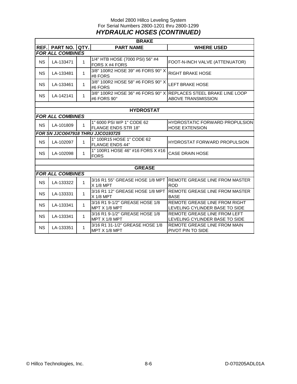#### Model 2800 Hillco Leveling System For Serial Numbers 2800-1201 thru 2800-1299 *HYDRAULIC HOSES (CONTINUED)*

|           | <b>BRAKE</b>            |              |                                                         |                                                                                               |  |  |  |
|-----------|-------------------------|--------------|---------------------------------------------------------|-----------------------------------------------------------------------------------------------|--|--|--|
| REF.      | <b>PART NO.</b>         | QTY.         | <b>PART NAME</b>                                        | <b>WHERE USED</b>                                                                             |  |  |  |
|           | <b>FOR ALL COMBINES</b> |              |                                                         |                                                                                               |  |  |  |
| <b>NS</b> | LA-133471               | 1            | 1/4" HTB HOSE (7000 PSI) 56" #4<br>FORS X #4 FORS       | FOOT-N-INCH VALVE (ATTENUATOR)                                                                |  |  |  |
| <b>NS</b> | LA-133481               | $\mathbf{1}$ | 3/8" 100R2 HOSE 39" #6 FORS 90° X<br>#8 FORS            | <b>RIGHT BRAKE HOSE</b>                                                                       |  |  |  |
| <b>NS</b> | LA-133461               | $\mathbf{1}$ | 3/8" 100R2 HOSE 58" #6 FORS 90° X<br>#6 FORS            | <b>LEFT BRAKE HOSE</b>                                                                        |  |  |  |
| <b>NS</b> | LA-142141               | 1            | #6 FORS 90°                                             | 3/8" 100R2 HOSE 36" #6 FORS 90° X REPLACES STEEL BRAKE LINE LOOP<br><b>ABOVE TRANSMISSION</b> |  |  |  |
|           |                         |              |                                                         |                                                                                               |  |  |  |
|           |                         |              | <b>HYDROSTAT</b>                                        |                                                                                               |  |  |  |
|           | <b>FOR ALL COMBINES</b> |              |                                                         |                                                                                               |  |  |  |
| <b>NS</b> | LA-101809               | 1            | 1" 6000 PSI WP 1" CODE 62<br><b>FLANGE ENDS STR 18"</b> | <b>HYDROSTATIC FORWARD PROPULSION</b><br><b>HOSE EXTENSION</b>                                |  |  |  |
|           |                         |              | FOR SN JJCO047918 THRU JJCO193725                       |                                                                                               |  |  |  |
| <b>NS</b> | LA-102097               | $\mathbf{1}$ | 1" 100R15 HOSE 1" CODE 62<br><b>FLANGE ENDS 44"</b>     | <b>HYDROSTAT FORWARD PROPULSION</b>                                                           |  |  |  |
| <b>NS</b> | LA-102098               | 1            | 1" 100R1 HOSE 46" #16 FORS X #16<br><b>FORS</b>         | <b>CASE DRAIN HOSE</b>                                                                        |  |  |  |
|           |                         |              |                                                         |                                                                                               |  |  |  |
|           |                         |              | <b>GREASE</b>                                           |                                                                                               |  |  |  |
|           | <b>FOR ALL COMBINES</b> |              |                                                         |                                                                                               |  |  |  |
| <b>NS</b> | LA-133322               | $\mathbf{1}$ | 3/16 R1 55" GREASE HOSE 1/8 MPT<br>$X$ 1/8 MPT          | REMOTE GREASE LINE FROM MASTER<br><b>ROD</b>                                                  |  |  |  |
| <b>NS</b> | LA-133331               | $\mathbf{1}$ | 3/16 R1 12" GREASE HOSE 1/8 MPT<br>$X$ 1/8 MPT          | REMOTE GREASE LINE FROM MASTER<br><b>BASE</b>                                                 |  |  |  |
| <b>NS</b> | LA-133341               | $\mathbf{1}$ | 3/16 R1 9-1/2" GREASE HOSE 1/8<br>MPT X 1/8 MPT         | REMOTE GREASE LINE FROM RIGHT<br>LEVELING CYLINDER BASE TO SIDE                               |  |  |  |
| <b>NS</b> | LA-133341               | $\mathbf{1}$ | 3/16 R1 9-1/2" GREASE HOSE 1/8<br>MPT X 1/8 MPT         | REMOTE GREASE LINE FROM LEFT<br>LEVELING CYLINDER BASE TO SIDE                                |  |  |  |
| <b>NS</b> | LA-133351               | $\mathbf{1}$ | 3/16 R1 31-1/2" GREASE HOSE 1/8<br>MPT X 1/8 MPT        | REMOTE GREASE LINE FROM MAIN<br>PIVOT PIN TO SIDE                                             |  |  |  |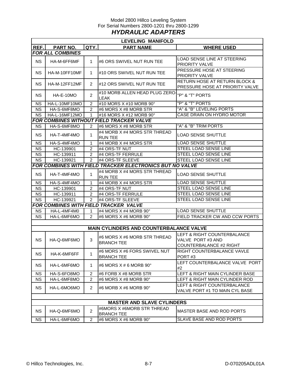#### Model 2800 Hillco Leveling System For Serial Numbers 2800-1201 thru 2800-1299 *HYDRAULIC ADAPTERS*

|                                                          | <b>LEVELING MANIFOLD</b> |                |                                                   |                                                                             |  |  |  |
|----------------------------------------------------------|--------------------------|----------------|---------------------------------------------------|-----------------------------------------------------------------------------|--|--|--|
| REF.                                                     | PART NO.                 | QTY.           | <b>PART NAME</b>                                  | <b>WHERE USED</b>                                                           |  |  |  |
|                                                          | <b>FOR ALL COMBINES</b>  |                |                                                   |                                                                             |  |  |  |
| <b>NS</b>                                                | HA-M-6FF6MF              | 1              | #6 ORS SWIVEL NUT RUN TEE                         | LOAD SENSE LINE AT STEERING                                                 |  |  |  |
|                                                          |                          |                |                                                   | <b>PRIORITY VALVE</b>                                                       |  |  |  |
| <b>NS</b><br>HA-M-10FF10MF                               |                          | 1              | #10 ORS SWIVEL NUT RUN TEE                        | PRESSURE HOSE AT STEERING                                                   |  |  |  |
|                                                          |                          |                |                                                   | <b>PRIORITY VALVE</b>                                                       |  |  |  |
| <b>NS</b>                                                | HA-M-12FF12MF            | 2              | #12 ORS SWIVEL NUT RUN TEE                        | <b>RETURN HOSE AT RETURN BLOCK &amp;</b><br>PRESSURE HOSE AT PRIORITY VALVE |  |  |  |
|                                                          |                          |                | #10 MORB ALLEN HEAD PLUG ZERO                     |                                                                             |  |  |  |
| <b>NS</b>                                                | HA-E-10MO                | 2              | <b>LEAK</b>                                       | "P" & "T" PORTS                                                             |  |  |  |
| <b>NS</b>                                                | HA-L-10MF10MO            | $\overline{2}$ | #10 MORS X #10 MORB 90°                           | "P" & "T" PORTS                                                             |  |  |  |
| <b>NS</b>                                                | HA-S-6MF8MO              | 2              | #6 MORS X #8 MORB STR                             | "A" & "B" LEVELING PORTS                                                    |  |  |  |
| <b>NS</b>                                                | HA-L-16MF12MO            | 1              | #16 MORS X #12 MORB 90°                           | CASE DRAIN ON HYDRO MOTOR                                                   |  |  |  |
|                                                          |                          |                | <b>FOR COMBINES WITHOUT FIELD TRACKER VALVE</b>   |                                                                             |  |  |  |
| <b>NS</b>                                                | HA-S-6MF8MO              | 2              | #6 MORS X #8 MORB STR                             | "A" & "B" TRIM PORTS                                                        |  |  |  |
| <b>NS</b>                                                | HA-T-4MF4MO              | 1              | #4 MORB X #4 MORS STR THREAD<br><b>RUN TEE</b>    | <b>LOAD SENSE SHUTTLE</b>                                                   |  |  |  |
| <b>NS</b>                                                | HA-S-4MF4MO              | 1              | #4 MORB X #4 MORS STR                             | <b>LOAD SENSE SHUTTLE</b>                                                   |  |  |  |
| <b>NS</b>                                                | HC-139901                | $\overline{2}$ | #4 ORS-TF NUT                                     | <b>STEEL LOAD SENSE LINE</b>                                                |  |  |  |
| <b>NS</b>                                                | HC-139911                | $\overline{2}$ | #4 ORS-TF FERRULE                                 | <b>STEEL LOAD SENSE LINE</b>                                                |  |  |  |
| <b>NS</b>                                                | HC-139921                | $\overline{2}$ | #4 ORS-TF SLEEVE                                  | STEEL LOAD SENSE LINE                                                       |  |  |  |
| FOR COMBINES WITH FIELD TRACKER ELECTRONICS BUT NO VALVE |                          |                |                                                   |                                                                             |  |  |  |
| <b>NS</b>                                                | HA-T-4MF4MO              | 1              | #4 MORB X #4 MORS STR THREAD<br><b>RUN TEE</b>    | LOAD SENSE SHUTTLE                                                          |  |  |  |
| <b>NS</b>                                                | HA-S-4MF4MO              | 1              | #4 MORB X #4 MORS STR                             | <b>LOAD SENSE SHUTTLE</b>                                                   |  |  |  |
| <b>NS</b>                                                | HC-139901                | 2              | #4 ORS-TF NUT                                     | STEEL LOAD SENSE LINE                                                       |  |  |  |
| <b>NS</b>                                                | HC-139911                | 2              | #4 ORS-TF FERRULE                                 | STEEL LOAD SENSE LINE                                                       |  |  |  |
| <b>NS</b>                                                | HC-139921                | 2              | #4 ORS-TF SLEEVE                                  | STEEL LOAD SENSE LINE                                                       |  |  |  |
|                                                          |                          |                | <b>FOR COMBINES WITH FIELD TRACKER VALVE</b>      |                                                                             |  |  |  |
| <b>NS</b>                                                | HA-L-4MF4M0              | 1              | #4 MORS X #4 MORB 90°                             | <b>LOAD SENSE SHUTTLE</b>                                                   |  |  |  |
| <b>NS</b>                                                | HA-L-6MF6MO              | $\overline{2}$ | #6 MORS X #6 MORB 90°                             | FIELD TRACKER CW AND CCW PORTS                                              |  |  |  |
|                                                          |                          |                |                                                   |                                                                             |  |  |  |
|                                                          |                          |                | MAIN CYLINDERS AND COUNTERBALANCE VALVE           |                                                                             |  |  |  |
| <b>NS</b>                                                | HA-Q-6MF6MO              | 3              | #6 MORS X #6 MORB STR THREAD<br><b>BRANCH TEE</b> | LEFT & RIGHT COUNTERBALANCE<br>VALVE PORT #3 AND                            |  |  |  |
|                                                          |                          |                |                                                   | COUNTERBALANCE #2 RIGHT                                                     |  |  |  |
|                                                          |                          | $\mathbf{1}$   | #6 MORS X #6 FORS SWIVEL NUT                      | RIGHT COUNTERBALANCE VAVLE                                                  |  |  |  |
| <b>NS</b>                                                | HA-K-6MF6FF              |                | <b>BRANCH TEE</b>                                 | PORT#3                                                                      |  |  |  |
| <b>NS</b>                                                | HA-L-6MF6MO              | 1              | #6 MORS X # 6 MORB 90°                            | LEFT COUNTERBALANCE VALVE PORT<br>#2                                        |  |  |  |
| <b>NS</b>                                                | HA-S-6FO8MO              | $\overline{c}$ | #6 FORB X #8 MORB STR                             | LEFT & RIGHT MAIN CYLINDER BASE                                             |  |  |  |
| <b>NS</b>                                                | HA-L-6MF8MO              | $\overline{c}$ | #6 MORS X #8 MORB 90°                             | LEFT & RIGHT MAIN CYLINDER ROD                                              |  |  |  |
| <b>NS</b>                                                | HA-L-6MO6MO              | 2              | #6 MORB X #6 MORB 90°                             | LEFT & RIGHT COUNTERBALANCE<br>VALVE PORT #1 TO MAIN CYL BASE               |  |  |  |
|                                                          |                          |                |                                                   |                                                                             |  |  |  |
|                                                          |                          |                | <b>MASTER AND SLAVE CYLINDERS</b>                 |                                                                             |  |  |  |
| <b>NS</b>                                                | HA-Q-6MF6MO              | $\overline{c}$ | #6MORS X #6MORB STR THREAD<br><b>BRANCH TEE</b>   | MASTER BASE AND ROD PORTS                                                   |  |  |  |
| <b>NS</b>                                                | HA-L-6MF6MO              | $\overline{c}$ | #6 MORS X #6 MORB 90°                             | SLAVE BASE AND ROD PORTS                                                    |  |  |  |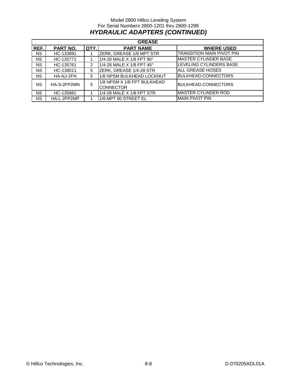#### Model 2800 Hillco Leveling System For Serial Numbers 2800-1201 thru 2800-1299 *HYDRAULIC ADAPTERS (CONTINUED)*

|           | <b>GREASE</b> |      |                                                 |                                  |  |  |  |  |  |
|-----------|---------------|------|-------------------------------------------------|----------------------------------|--|--|--|--|--|
| REF.      | PART NO.      | QTY. | <b>PART NAME</b>                                | <b>WHERE USED</b>                |  |  |  |  |  |
| <b>NS</b> | HC-133891     |      | <b>ZERK, GREASE 1/8 MPT STR</b>                 | <b>TRANSITION MAIN PIVOT PIN</b> |  |  |  |  |  |
| <b>NS</b> | HC-135771     |      | 1/4-28 MALE X 1/8 FPT 90°                       | <b>IMASTER CYLINDER BASE</b>     |  |  |  |  |  |
| <b>NS</b> | HC-135761     | 2    | 1/4-28 MALE X 1/8 FPT 45°                       | <b>ILEVELING CYLINDERS BASE</b>  |  |  |  |  |  |
| <b>NS</b> | HC-138011     | 5    | ZERK, GREASE 1/4-28 STR                         | <b>ALL GREASE HOSES</b>          |  |  |  |  |  |
| <b>NS</b> | HA-NJ-2FN     | 5    | 1/8 NPSM BULKHEAD LOCKNUT                       | <b>BULKHEAD CONNECTORS</b>       |  |  |  |  |  |
| <b>NS</b> | HA-S-2FP2MN   | 5    | 1/8 NPSM X 1/8 FPT BULKHEAD<br><b>CONNECTOR</b> | <b>BULKHEAD CONNECTORS</b>       |  |  |  |  |  |
| <b>NS</b> | HC-135881     |      | 1/4-28 MALE X 1/8 FPT STR                       | <b>IMASTER CYLINDER ROD</b>      |  |  |  |  |  |
| NS.       | HA-L-2FP2MP   |      | 1/8 MPT 90 STREET EL                            | <b>MAIN PIVOT PIN</b>            |  |  |  |  |  |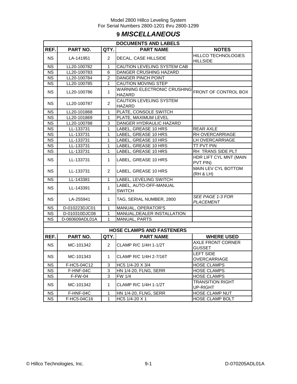## **9** *MISCELLANEOUS*

| <b>DOCUMENTS AND LABELS</b> |                |                |                                                     |                                               |  |  |  |
|-----------------------------|----------------|----------------|-----------------------------------------------------|-----------------------------------------------|--|--|--|
| REF.                        | PART NO.       | QTY.           | <b>PART NAME</b>                                    | <b>NOTES</b>                                  |  |  |  |
| <b>NS</b>                   | LA-141951      | $\overline{2}$ | DECAL, CASE HILLSIDE                                | <b>HILLCO TECHNOLOGIES</b><br><b>HILLSIDE</b> |  |  |  |
| <b>NS</b>                   | LL20-100782    | $\mathbf{1}$   | CAUTION LEVELING SYSTEM CAB                         |                                               |  |  |  |
| <b>NS</b>                   | LL20-100783    | 6              | DANGER CRUSHING HAZARD                              |                                               |  |  |  |
| <b>NS</b>                   | LL20-100784    | $\overline{2}$ | DANGER PINCH POINT                                  |                                               |  |  |  |
| <b>NS</b>                   | LL20-100785    | 1              | CAUTION MOVING STEP                                 |                                               |  |  |  |
| <b>NS</b>                   | LL20-100786    | 1              | <b>WARNING ELECTRONIC CRUSHING</b><br><b>HAZARD</b> | FRONT OF CONTROL BOX                          |  |  |  |
| <b>NS</b>                   | LL20-100787    | $\overline{2}$ | CAUTION LEVELING SYSTEM<br><b>HAZARD</b>            |                                               |  |  |  |
| <b>NS</b>                   | LL20-101868    | 1              | PLATE, CONSOLE SWITCH                               |                                               |  |  |  |
| <b>NS</b>                   | LL20-101869    | 1              | PLATE, MAXIMUM LEVEL                                |                                               |  |  |  |
| <b>NS</b>                   | LL20-100788    | 3              | DANGER HYDRAULIC HAZARD                             |                                               |  |  |  |
| <b>NS</b>                   | LL-133731      | 1              | LABEL, GREASE 10 HRS                                | <b>REAR AXLE</b>                              |  |  |  |
| <b>NS</b>                   | LL-133731      | 1              | LABEL, GREASE 10 HRS                                | RH OVERCARRIAGE                               |  |  |  |
| <b>NS</b>                   | LL-133731      | 1              | LABEL, GREASE 10 HRS                                | LH OVERCARRIAGE                               |  |  |  |
| <b>NS</b>                   | LL-133731      | 1              | LABEL, GREASE 10 HRS                                | <b>TT PVT PIN</b>                             |  |  |  |
| <b>NS</b>                   | LL-133731      | 1              | LABEL, GREASE 10 HRS                                | RH TRANS SIDE PLT                             |  |  |  |
| <b>NS</b>                   | LL-133731      | $\mathbf{1}$   | LABEL, GREASE 10 HRS                                | HDR LIFT CYL MNT (MAIN<br>PVT PIN)            |  |  |  |
| <b>NS</b>                   | LL-133731      | $\overline{2}$ | LABEL, GREASE 10 HRS                                | MAIN LEV CYL BOTTOM<br>(RH & LH)              |  |  |  |
| <b>NS</b>                   | LL-143381      | 1              | LABEL, LEVELING SWITCH                              |                                               |  |  |  |
| <b>NS</b>                   | LL-143391      | 1              | LABEL, AUTO-OFF-MANUAL<br><b>SWITCH</b>             |                                               |  |  |  |
| <b>NS</b>                   | LA-255941      | $\mathbf{1}$   | TAG, SERIAL NUMBER, 2800                            | SEE PAGE 1-3 FOR<br>PLACEMENT                 |  |  |  |
| <b>NS</b>                   | D-010223DJC01  | 1              | MANUAL, OPERATOR'S                                  |                                               |  |  |  |
| NS.                         | D-010310DJC08  | 1              | MANUAL, DEALER INSTALLATION                         |                                               |  |  |  |
| <b>NS</b>                   | D-060609ADL01A | 1              | <b>MANUAL, PARTS</b>                                |                                               |  |  |  |
|                             |                |                |                                                     |                                               |  |  |  |
|                             |                |                | <b>HOSE CLAMPS AND FASTENERS</b>                    |                                               |  |  |  |
| REF.                        | PART NO.       | QTY.           | <b>PART NAME</b>                                    | <b>WHERE USED</b>                             |  |  |  |
| <b>NS</b>                   | MC-101342      | $\overline{2}$ | CLAMP R/C 1/4H 1-1/2T                               | <b>AXLE FRONT CORNER</b><br><b>GUSSET</b>     |  |  |  |
| <b>NS</b>                   | MC-101343      | $1 \quad$      | CLAMP R/C 1/4H 2-7/16T                              | <b>LEFT SIDE</b><br>OVERCARRIAGE              |  |  |  |
| NS.                         | F-HC5-04C12    | 3              | HC5 1/4-20 X 3/4                                    | <b>HOSE CLAMPS</b>                            |  |  |  |
| <b>NS</b>                   | F-HNF-04C      | 3              | <b>HN 1/4-20, FLNG, SERR</b>                        | <b>HOSE CLAMPS</b>                            |  |  |  |
| <b>NS</b>                   | <b>F-FW-04</b> | 3              | FW 1/4                                              | <b>HOSE CLAMPS</b>                            |  |  |  |
| <b>NS</b>                   | MC-101342      | 1              | CLAMP R/C 1/4H 1-1/2T                               | <b>TRANSITION RIGHT</b><br>UP-RIGHT           |  |  |  |
| <b>NS</b>                   | F-HNF-04C      | 1              | HN 1/4-20, FLNG, SERR                               | <b>HOSE CLAMP NUT</b>                         |  |  |  |
| <b>NS</b>                   | F-HC5-04C16    | 1              | HC5 1/4-20 X 1                                      | <b>HOSE CLAMP BOLT</b>                        |  |  |  |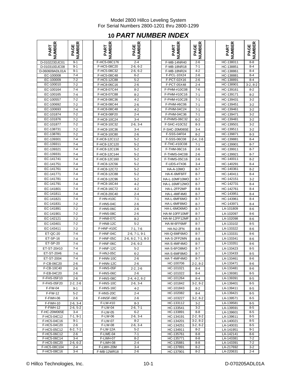## **10** *PART NUMBER INDEX*

| NUMBER<br>PART                     | <b>NUMBER</b><br>PAGE | <b>NUMBER</b><br>PART      | <b>PAGE<br/>NUMBER</b> | NUMBER<br>PART             | <b>NUMBER</b><br>PAGE | <b>NUMBER</b><br>PART  | PAGE<br>NUMBER     |
|------------------------------------|-----------------------|----------------------------|------------------------|----------------------------|-----------------------|------------------------|--------------------|
| D-010223DJC01                      | $9 - 1$               | F-HC5-08C176               | $2 - 4$                | F-MB-14NR40                | $2 - 6$               | HC-138011              | $8 - 8$            |
| D-010310DJC08                      | $9 - 1$               | F-HC5-08C20                | $2-6, 6-2$             | F-MB-18NR18                | $7 - 1$               | HC-138851              | $8 - 4$            |
| D-060609ADL01A                     | $9 - 1$               | F-HC5-08C32                | $2-6, 6-2$             | F-MB-18NR24                | $4 - 2$               | HC-138861              | $8 - 4$            |
| EC-100008<br>EC-100009             | $7 - 4$<br>$7 - 2$    | F-HC5-08C48<br>F-HC5-12C88 | $6 - 2$<br>$5 - 2$     | F-PCL-10X24<br>F-PCT-02X16 | $2 - 6$<br>$2 - 6$    | HC-138881<br>HC-138891 | $8 - 4$<br>$8 - 4$ |
| EC-100010                          | $7 - 2$               | F-HC8-06C16                | $2 - 6$                | F-PCT-05X48                | $2 - 4$               | HC-138901              | $3-2, 8-2$         |
| EC-100164                          | $7 - 4$               | F-HC8-07C44                | $8 - 2$                | F-PHM-#10C08               | $7 - 6$               | HC-139161              | $8 - 2$            |
| EC-100165                          | $7 - 4$               | F-HC8-07C88                | $8 - 2$                | F-PHM-#10C16               | $7 - 1$               | HC-139171              | $8 - 2$            |
| EC-100557                          | $7 - 2$               | F-HC8-08C36                | $4 - 2$                | F-PHM-#10C28               | $7 - 1$               | HC-139431              | $3 - 2$            |
| EC-100692                          | $7 - 2$               | F-HC8-08C44                | $2 - 6$                | F-PHM-#6C06                | $7 - 1$               | HC-139451              | $3 - 2$            |
| EC-100693                          | $7 - 4$               | F-HC8-08C48                | $4 - 2$                | F-PHM-04C24                | $7 - 1$               | HC-139461              | $3 - 2$            |
| EC-101874                          | $7 - 2$               | F-HC8-08F20                | $2 - 4$                | F-PHM-04C36                | $7 - 1$               | HC-139471              | $3 - 2$            |
| EC-101876                          | $7 - 2$               | F-HC8-10C24                | $3 - 4$                | F-PHMS-06C32               | $6 - 2$               | HC-139481              | $3-2$              |
| EC-101877                          | $7 - 2$               | F-HC8-10C32                | $2-6, 3-4$             | F-SHC-#10C52               | $8 - 3$               | HC-139501              | $3 - 2$            |
| EC-138731                          | $7 - 2$               | F-HC8-10C36                | $3 - 4$                | F-SHC-20M065E              | $3 - 4$               | HC-139511              | $3 - 2$            |
| EC-138781                          | $7 - 2$               | F-HC8-10C80                | $2 - 6$                | F-SSS-04F04                | $8 - 2$               | HC-139871              | $8 - 3$            |
| EC-139301                          | $7 - 4$               | F-HC8-12C112               | $5 - 2$                | F-SSS-06C08                | $2 - 4, 2 - 6$        | HC-139881              | $8 - 4$            |
| EC-139311                          | $7 - 4$               | F-HC8-12C120               | $5 - 2$                | F-THC-#10C08               | $7 - 1$               | HC-139901              | $8 - 7$            |
| EC-139321                          | $7 - 4$               | F-HC8-12C136               | $5 - 2$                | F-THM-06C16                | $2 - 6$               | HC-139911              | $8 - 7$            |
| EC-139331                          | $7 - 4$               | F-HC8-12C144               | $5 - 2$                | <b>F-THMS-04C08</b>        | $2 - 6$               | HC-139921              | $8 - 7$            |
| EC-141741                          | $7 - 4$               | F-HC8-12C160               | $5 - 2$                | F-THMS-05C16               | $2 - 6$               | HC-140011              | $8 - 2$            |
| EC-141751                          | $7 - 4$               | F-HC8-12C56                | $5 - 2$                | F-UDS-#7X06                | $3 - 4$               | HC-140291              | $8 - 4$            |
| EC-141761                          | $7 - 4$               | F-HC8-12C72                | $5 - 2$                | HA-A-10MO                  | $8 - 7$               | HC-140361              | $8 - 2$            |
| EC-141771                          | $7 - 4$               | F-HC8-12C88                | $5-2$                  | HA-K-6MF6FF                | $8 - 7$               | HC-140411              | $8 - 4$            |
| EC-141781                          | $7 - 4$               | F-HC8-12C96                | $5 - 2$                | HA-L-10MF10MO              | $8 - 7$               | HC-142151              | $3 - 2$            |
| EC-141791                          | $7 - 4$               | F-HC8-16C44                | $4 - 2$                | HA-L-16MF12MO              | $8 - 7$               | HC-142731              | $8 - 4$            |
| EC-141801                          | $7 - 4$               | F-HC8-16C72                | $4 - 2$                | HA-L-2FP2MP                | $8 - 8$               | HC-142761              | $8 - 4$            |
| EC-141811                          | $7 - 4$               | F-HC8-20C40                | $2 - 4$                | HA-L-4MF4M0                | $8 - 7$               | HC-143951              | $8 - 4$            |
| EC-141821                          | $7 - 4$               | F-HN-#10C                  | $7 - 1$                | HA-L-6MF6MO                | $8 - 7$               | HC-143961              | $8 - 4$            |
| EC-141831                          | $7 - 2$               | F-HN5-04C                  | $2 - 6$                | HA-L-6MF8MO                | $8 - 7$               | HC-143971              | $8 - 4$            |
| EC-141891                          | $7 - 2$               | F-HN5-06C                  | $2 - 6$                | HA-L-6MO6MO                | $8 - 7$               | LA-101809              | $8-6$              |
| EC-141901                          | $7 - 2$               | F-HN5-08C                  | $2 - 6$                | HA-M-10FF10MF              | $8 - 7$               | LA-102097              | $8 - 6$            |
| EC-142121                          | $7 - 2$               | F-HN8-07C                  | $8 - 2$                | HA-M-12FF12MF              | $8 - 7$               | LA-102098              | $8 - 6$            |
| EC-143401                          | $7 - 2$               | F-HN8-12C                  | $5 - 2$                | HA-M-6FF6MF                | $8 - 7$               | LA-133102              | $8 - 5$            |
| EC-143411                          | $7 - 2$               | F-HNF-#10C                 | $7-1, 7-6$             | HA-NJ-2FN                  | $8 - 8$               | LA-133322              | $8 - 6$            |
| ET-QC-20                           | $7 - 4$<br>$7 - 4$    | F-HNF-04C                  | $2-6, 7-1, 9-1$        | HA-Q-6MF6MO                | $8 - 7$               | LA-133331              | $8-6$              |
| <b>ET-SP-16</b><br><b>ET-SP-20</b> | $7 - 4$               | F-HNF-05C<br>F-HNF-06C     | 2-6, 6-2, 7-1, 8-3     | HA-S-2FP2MN                | $8 - 8$               | LA-133341<br>LA-133351 | $8-6$<br>$8-6$     |
| ET-ST-20#10                        | $7 - 4$               | F-HNF-12C                  | $2-6, 6-2$<br>$5 - 2$  | HA-S-4MF4MO<br>HA-S-6FO8MO | $8 - 7$<br>$8 - 7$    | LA-133423              | $8 - 5$            |
| ET-ST-20#6                         | $7 - 4$               | F-HNJ-05C                  | $6 - 2$                | HA-S-6MF8MO                | $8 - 7$               | LA-133433              | $8 - 5$            |
| ET-ST-2004                         | 7-4                   | F-HNN-10C                  | 2-6                    | HA-T-4MF4MO                | $8 - 7$               | LA-133461              | 8-6                |
| F-CB-06C20                         | 2-6                   | F-HNN-12C                  | 2-6                    | HC-100706                  | $2-2, 8-2$            | LA-133471              | 8-6                |
| F-CB-10C40                         | $2 - 6$               | F-HNS-05F                  | 2-2, 2-6               | HC-101021                  | 8-4                   | LA-133481              | 8-6                |
| F-EB-04C20                         | $2 - 6$               | F-HNS-06C                  | $2 - 6$                | HC-101022                  | $8 - 4$               | LA-139381              | $8-5$              |
| F-FHS-05F10                        | $2 - 6$               | F-HNS-08C                  | $2-4, 4-2, 6-2$        | HC-101264                  | $8 - 4$               | LA-139391              | 8-5                |
| F-FHS-05F20                        | $2-2, 2-6$            | F-HNS-10C                  | $2-6, 3-4$             | HC-101842                  | $3-2, 8-2$            | LA-139401              | $8-5$              |
| F-FW-04                            | $9 - 1$               | F-HNS-16C                  | 4-2                    | HC-101843                  | $8 - 2$               | LA-139411              | 8-5                |
| F-FW-12                            | $5 - 2$               | F-HNS-20C                  | $2 - 4$                | HC-102082                  | $8 - 4$               | LA-139421              | 8-5                |
| F-FWH-06                           | $2 - 6$               | F-HNSF-08C                 | 2-6                    | HC-103227                  | $3-2, 8-2$            | LA-139571              | $8-5$              |
| F-FWH-10                           | $2-6, 3-4$            | F-LW-#10                   | 8-3                    | HC-133112                  | $3 - 2$               | LA-139581              | 8-5                |
| F-FWH-12                           | $2-6, 5-2$            | F-LW-04                    | $2-6, 7-1$             | HC-133541                  | $3 - 2$               | LA-139591              | $8 - 5$            |
| F-HC-20M065E                       | $3 - 4$               | F-LW-05                    | $6 - 2$                | HC-133891                  | $8 - 8$               | LA-139601              | 8-5                |
| F-HC5-04C12                        | $7-1, 9-1$            | F-LW-06                    | $2-6, 3-4$             | HC-134191                  | $2-2, 8-2$            | LA-139611              | $8-5$              |
| F-HC5-04C16                        | $9-1$<br>$2 - 6$      | F-LW-07<br>F-LW-08         | $8 - 2$<br>$2-6, 3-4$  | HC-134201                  | $3-2, 8-2$            | LA-140021              | 8-5<br>$8-5$       |
| F-HC5-04C20<br>F-HC5-05C12         | $6-2, 7-1$            | <b>F-LW-12A</b>            | $5 - 2$                | HC-134251<br>HC-134911     | $3-2, 8-2$<br>$8 - 2$ | LA-140031<br>LA-141951 | 9-1                |
| F-HC5-06C12                        | $2 - 6$               | F-LWE-04                   | 7-1                    | HC-135761                  | 8-8                   | LA-142141              | 8-6                |
| F-HC5-06C14                        | $3 - 4$               | F-LWH-07                   | $8 - 2$                | HC-135771                  | 8-8                   | LA-143381              | 7-2                |
| F-HC5-06C20                        | $2-6, 6-2$            | F-LWH-08                   | $2 - 4$                | HC-135881                  | $8 - 8$               | LA-143391              | $7 - 2$            |
| F-HC5-08C104                       | $2 - 4$               | F-LWH-20M                  | $3 - 4$                | HC-137891                  | $8 - 2$               | LA-217692              | $3-2$              |
| F-HC5-08C16                        | $3 - 4$               | F-MB-12WR18                | $2 - 6$                | HC-137901                  | $8 - 2$               | LA-220631              | 2-4                |

| 띥<br>۲<br>.<br>∡F<br>≃<br>Δ. | ≃<br>ш<br>ш<br>হৈ<br>≃<br>Δ. |
|------------------------------|------------------------------|
| HC-138011                    | $8 - 8$                      |
| HC-138851                    | $8 - 4$                      |
| HC-138861                    | $8 - 4$                      |
| HC-138881                    | $8 - 4$                      |
| НC<br>-138891                | $8 - 4$                      |
| HC-138901                    | $3-2, 8-2$                   |
| HC-139161                    | $8 - 2$                      |
| HC-139171                    | $8 - 2$                      |
| HC-139431                    | $3 - 2$                      |
| HC-139451                    | 3-2                          |
| HC-139461                    | $3 - 2$                      |
| HC-139471                    | $3-2$                        |
| HC-139481                    | $3-2$                        |
| HC-139501                    | $3-2$                        |
| HC-139511                    | 3-2                          |
| HC-139871                    | $8 - 3$                      |
| HC-139881                    | 8-4                          |
| HC-139901                    | $8 - 7$                      |
| HC-139911                    | $8 - 7$                      |
| HC-139921                    | 8-7                          |
| HC-140011                    | $8 - 2$                      |
| HC-140291                    | $8 - 4$                      |
| HC-140361                    | $8 - 2$                      |
| HC-140411                    | $8 - 4$                      |
| HC-142151                    | $3 - 2$                      |
| HC-142731                    | 8-4                          |
| HC-142761                    | $8 - 4$                      |
| HC-143951                    | 8-4                          |
| HC-143961                    | $8 - 4$                      |
| HC-143971                    | 8-4                          |
| LA-101809                    | 8-6                          |
| LA-102097                    | 8-6                          |
| LA-102098                    | 8-6                          |
| LA-133102                    | $8 - 5$                      |
| LA-133322                    | $8 - 6$                      |
| LA-133331                    | 8-6                          |
| LA-133341                    | 8-6                          |
| LA-133351                    | 8-6                          |
| LA-133423                    | $8 - 5$                      |
| LA-133433                    | 8-5                          |
| LA-133461                    | 8-6                          |
| LA-133471                    | 8-6                          |
| LA-133481                    | 8-6                          |
| LA-139381                    | 8-5                          |
| A-139391<br>L                | 8-5                          |
| LA-139401                    | 8-5                          |
| LA-139411                    | 8-5                          |
| LA-139421                    | 8-5                          |
| LA-139571                    | $8 - 5$                      |
| LA-139581                    | $8 - 5$                      |
| LA-139591                    | $8 - 5$                      |
| LA-139601                    | 8-5                          |
| LA-139611                    | $8 - 5$<br>8-5               |
| LA-140021<br>LA-140031       | $8 - 5$                      |
| LA-141951                    | $9-1$                        |
| LA-142141                    | 8-6                          |
| LA-143381                    | $7-2$                        |
| LA-143391                    | 7-2                          |
| LA-217692<br>LA-220631       | $3-2$<br>$2 - 4$             |
|                              |                              |

© Hillco Technologies, Inc. 10-1 10-1 D-070205ADL01A